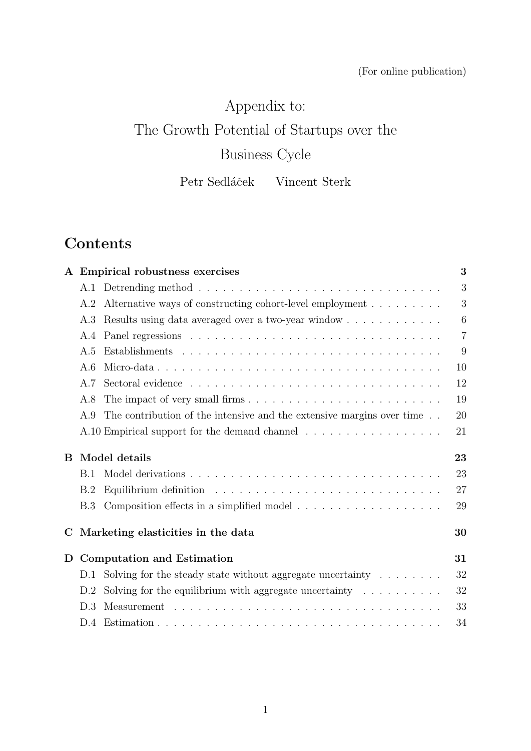### (For online publication)

# Appendix to:

## The Growth Potential of Startups over the

# Business Cycle

Petr Sedláček Vincent Sterk

## Contents

|   |            | A Empirical robustness exercises                                                  | 3              |
|---|------------|-----------------------------------------------------------------------------------|----------------|
|   | A.1        |                                                                                   | 3              |
|   | A.2        | Alternative ways of constructing cohort-level employment                          | 3              |
|   | A.3        | Results using data averaged over a two-year window                                | 6              |
|   | A.4        |                                                                                   | $\overline{7}$ |
|   | A.5        |                                                                                   | 9              |
|   | A.6        |                                                                                   | 10             |
|   | A.7        |                                                                                   | 12             |
|   | A.8        |                                                                                   | 19             |
|   | A.9        | The contribution of the intensive and the extensive margins over time $\ldots$    | 20             |
|   |            | A.10 Empirical support for the demand channel                                     | 21             |
| B |            | Model details                                                                     | 23             |
|   | <b>B.1</b> |                                                                                   | 23             |
|   | B.2        |                                                                                   | 27             |
|   | B.3        |                                                                                   | 29             |
| C |            | Marketing elasticities in the data                                                | 30             |
| D |            | <b>Computation and Estimation</b>                                                 | 31             |
|   | D.1        | Solving for the steady state without aggregate uncertainty $\ldots \ldots \ldots$ | 32             |
|   | D.2        | Solving for the equilibrium with aggregate uncertainty $\dots \dots \dots$        | 32             |
|   | D.3        |                                                                                   | 33             |
|   | D.4        |                                                                                   | 34             |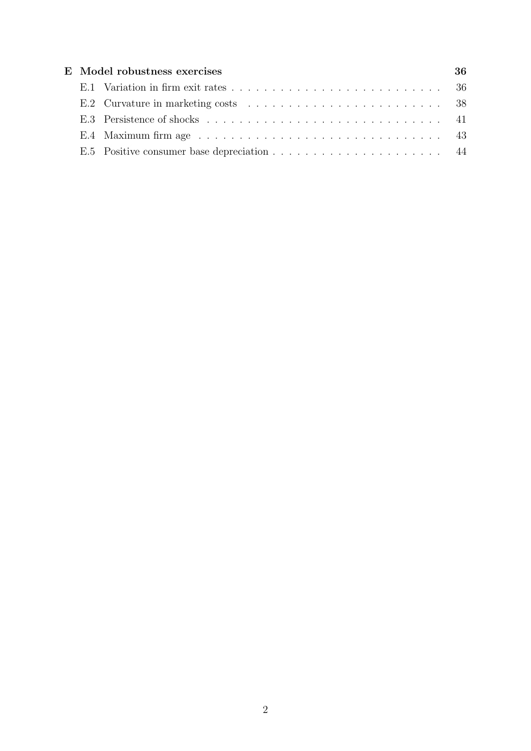|  | E Model robustness exercises                                                                        | 36. |
|--|-----------------------------------------------------------------------------------------------------|-----|
|  |                                                                                                     |     |
|  |                                                                                                     |     |
|  |                                                                                                     |     |
|  | E.4 Maximum firm age $\ldots \ldots \ldots \ldots \ldots \ldots \ldots \ldots \ldots \ldots \ldots$ |     |
|  |                                                                                                     |     |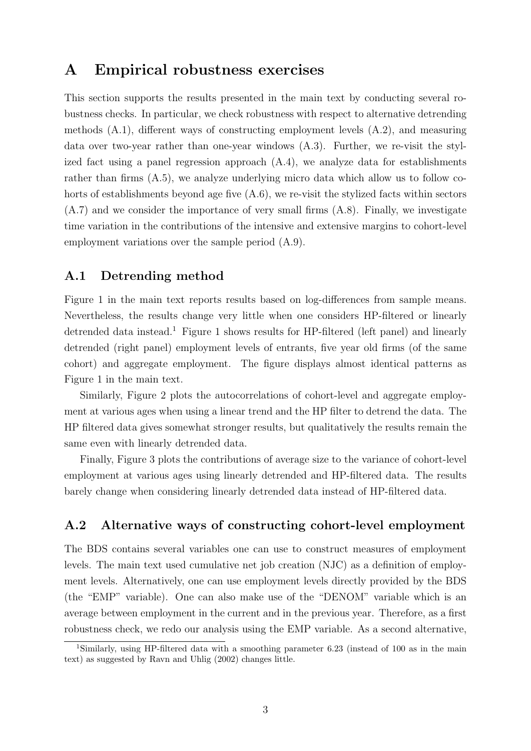## A Empirical robustness exercises

This section supports the results presented in the main text by conducting several robustness checks. In particular, we check robustness with respect to alternative detrending methods (A.1), different ways of constructing employment levels (A.2), and measuring data over two-year rather than one-year windows (A.3). Further, we re-visit the stylized fact using a panel regression approach (A.4), we analyze data for establishments rather than firms (A.5), we analyze underlying micro data which allow us to follow cohorts of establishments beyond age five (A.6), we re-visit the stylized facts within sectors  $(A.7)$  and we consider the importance of very small firms  $(A.8)$ . Finally, we investigate time variation in the contributions of the intensive and extensive margins to cohort-level employment variations over the sample period (A.9).

#### A.1 Detrending method

Figure 1 in the main text reports results based on log-differences from sample means. Nevertheless, the results change very little when one considers HP-filtered or linearly detrended data instead.<sup>1</sup> Figure 1 shows results for HP-filtered (left panel) and linearly detrended (right panel) employment levels of entrants, five year old firms (of the same cohort) and aggregate employment. The figure displays almost identical patterns as Figure 1 in the main text.

Similarly, Figure 2 plots the autocorrelations of cohort-level and aggregate employment at various ages when using a linear trend and the HP filter to detrend the data. The HP filtered data gives somewhat stronger results, but qualitatively the results remain the same even with linearly detrended data.

Finally, Figure 3 plots the contributions of average size to the variance of cohort-level employment at various ages using linearly detrended and HP-filtered data. The results barely change when considering linearly detrended data instead of HP-filtered data.

#### A.2 Alternative ways of constructing cohort-level employment

The BDS contains several variables one can use to construct measures of employment levels. The main text used cumulative net job creation (NJC) as a definition of employment levels. Alternatively, one can use employment levels directly provided by the BDS (the "EMP" variable). One can also make use of the "DENOM" variable which is an average between employment in the current and in the previous year. Therefore, as a first robustness check, we redo our analysis using the EMP variable. As a second alternative,

<sup>&</sup>lt;sup>1</sup>Similarly, using HP-filtered data with a smoothing parameter 6.23 (instead of 100 as in the main text) as suggested by Ravn and Uhlig (2002) changes little.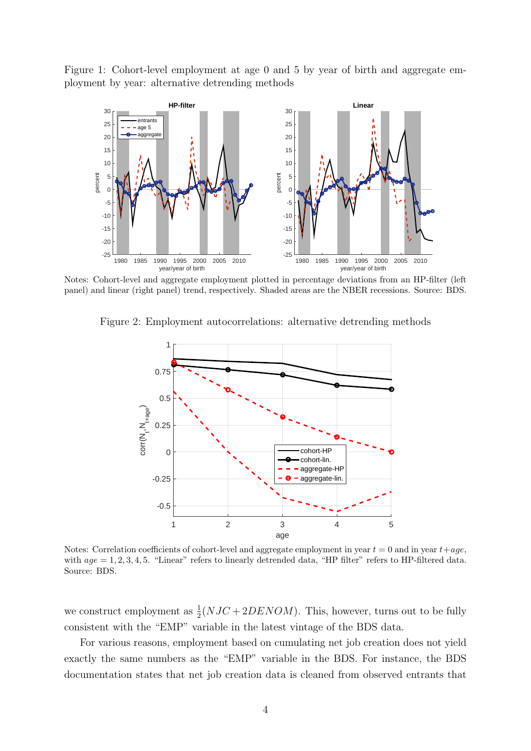Figure 1: Cohort-level employment at age 0 and 5 by year of birth and aggregate employment by year: alternative detrending methods



Notes: Cohort-level and aggregate employment plotted in percentage deviations from an HP-filter (left panel) and linear (right panel) trend, respectively. Shaded areas are the NBER recessions. Source: BDS.





Notes: Correlation coefficients of cohort-level and aggregate employment in year  $t = 0$  and in year  $t+age$ , with  $age = 1, 2, 3, 4, 5$ . "Linear" refers to linearly detrended data, "HP filter" refers to HP-filtered data. Source: BDS.

we construct employment as  $\frac{1}{2}(NJC + 2DENOM)$ . This, however, turns out to be fully consistent with the "EMP" variable in the latest vintage of the BDS data.

For various reasons, employment based on cumulating net job creation does not yield exactly the same numbers as the "EMP" variable in the BDS. For instance, the BDS documentation states that net job creation data is cleaned from observed entrants that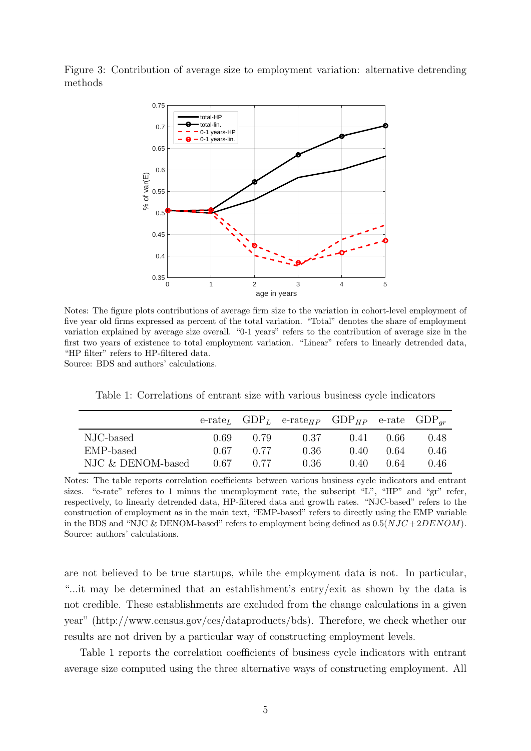Figure 3: Contribution of average size to employment variation: alternative detrending methods



Notes: The figure plots contributions of average firm size to the variation in cohort-level employment of five year old firms expressed as percent of the total variation. "Total" denotes the share of employment variation explained by average size overall. "0-1 years" refers to the contribution of average size in the first two years of existence to total employment variation. "Linear" refers to linearly detrended data, "HP filter" refers to HP-filtered data.

Source: BDS and authors' calculations.

Table 1: Correlations of entrant size with various business cycle indicators

|                   |      |      | e-rate <sub>L</sub> $GDP_L$ e-rate <sub>HP</sub> $GDP_{HP}$ e-rate $GDP_{ar}$ |      |      |      |
|-------------------|------|------|-------------------------------------------------------------------------------|------|------|------|
| NJC-based         | 0.69 | 0.79 | 0.37                                                                          | 0.41 | 0.66 | 0.48 |
| EMP-based         | 0.67 | 0.77 | 0.36                                                                          | 0.40 | 0.64 | 0.46 |
| NJC & DENOM-based | 0.67 | 0.77 | 0.36                                                                          | 0.40 | 0.64 | 0.46 |

Notes: The table reports correlation coefficients between various business cycle indicators and entrant sizes. "e-rate" referes to 1 minus the unemployment rate, the subscript "L", "HP" and "gr" refer, respectively, to linearly detrended data, HP-filtered data and growth rates. "NJC-based" refers to the construction of employment as in the main text, "EMP-based" refers to directly using the EMP variable in the BDS and "NJC & DENOM-based" refers to employment being defined as  $0.5(NJC + 2DENOM)$ . Source: authors' calculations.

are not believed to be true startups, while the employment data is not. In particular, "...it may be determined that an establishment's entry/exit as shown by the data is not credible. These establishments are excluded from the change calculations in a given year" (http://www.census.gov/ces/dataproducts/bds). Therefore, we check whether our results are not driven by a particular way of constructing employment levels.

Table 1 reports the correlation coefficients of business cycle indicators with entrant average size computed using the three alternative ways of constructing employment. All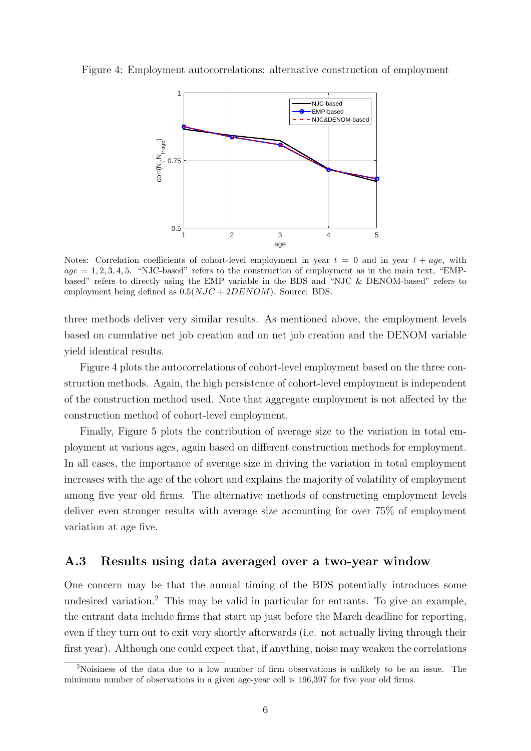#### Figure 4: Employment autocorrelations: alternative construction of employment



Notes: Correlation coefficients of cohort-level employment in year  $t = 0$  and in year  $t + age$ , with  $age = 1, 2, 3, 4, 5.$  "NJC-based" refers to the construction of employment as in the main text, "EMPbased" refers to directly using the EMP variable in the BDS and "NJC & DENOM-based" refers to employment being defined as  $0.5(NJC + 2DENOM)$ . Source: BDS.

three methods deliver very similar results. As mentioned above, the employment levels based on cumulative net job creation and on net job creation and the DENOM variable yield identical results.

Figure 4 plots the autocorrelations of cohort-level employment based on the three construction methods. Again, the high persistence of cohort-level employment is independent of the construction method used. Note that aggregate employment is not affected by the construction method of cohort-level employment.

Finally, Figure 5 plots the contribution of average size to the variation in total employment at various ages, again based on different construction methods for employment. In all cases, the importance of average size in driving the variation in total employment increases with the age of the cohort and explains the majority of volatility of employment among five year old firms. The alternative methods of constructing employment levels deliver even stronger results with average size accounting for over 75% of employment variation at age five.

#### A.3 Results using data averaged over a two-year window

One concern may be that the annual timing of the BDS potentially introduces some undesired variation.<sup>2</sup> This may be valid in particular for entrants. To give an example, the entrant data include firms that start up just before the March deadline for reporting, even if they turn out to exit very shortly afterwards (i.e. not actually living through their first year). Although one could expect that, if anything, noise may weaken the correlations

<sup>2</sup>Noisiness of the data due to a low number of firm observations is unlikely to be an issue. The minimum number of observations in a given age-year cell is 196,397 for five year old firms.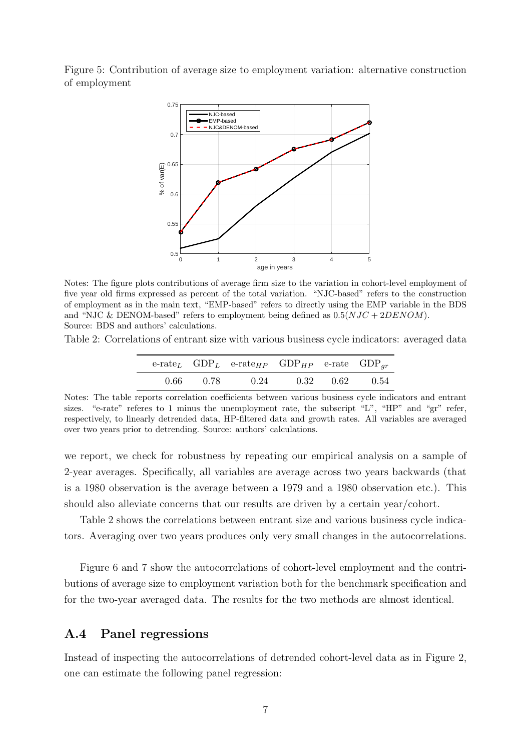Figure 5: Contribution of average size to employment variation: alternative construction of employment



Notes: The figure plots contributions of average firm size to the variation in cohort-level employment of five year old firms expressed as percent of the total variation. "NJC-based" refers to the construction of employment as in the main text, "EMP-based" refers to directly using the EMP variable in the BDS and "NJC & DENOM-based" refers to employment being defined as  $0.5(NJC + 2DENOM)$ . Source: BDS and authors' calculations.

Table 2: Correlations of entrant size with various business cycle indicators: averaged data

|  | e-rate <sub>L</sub> $GDP_L$ e-rate <sub>HP</sub> $GDP_{HP}$ e-rate $GDP_{ar}$ |  |  |
|--|-------------------------------------------------------------------------------|--|--|
|  | $0.66$ $0.78$ $0.24$ $0.32$ $0.62$ $0.54$                                     |  |  |

Notes: The table reports correlation coefficients between various business cycle indicators and entrant sizes. "e-rate" referes to 1 minus the unemployment rate, the subscript "L", "HP" and "gr" refer, respectively, to linearly detrended data, HP-filtered data and growth rates. All variables are averaged over two years prior to detrending. Source: authors' calculations.

we report, we check for robustness by repeating our empirical analysis on a sample of 2-year averages. Specifically, all variables are average across two years backwards (that is a 1980 observation is the average between a 1979 and a 1980 observation etc.). This should also alleviate concerns that our results are driven by a certain year/cohort.

Table 2 shows the correlations between entrant size and various business cycle indicators. Averaging over two years produces only very small changes in the autocorrelations.

Figure 6 and 7 show the autocorrelations of cohort-level employment and the contributions of average size to employment variation both for the benchmark specification and for the two-year averaged data. The results for the two methods are almost identical.

#### A.4 Panel regressions

Instead of inspecting the autocorrelations of detrended cohort-level data as in Figure 2, one can estimate the following panel regression: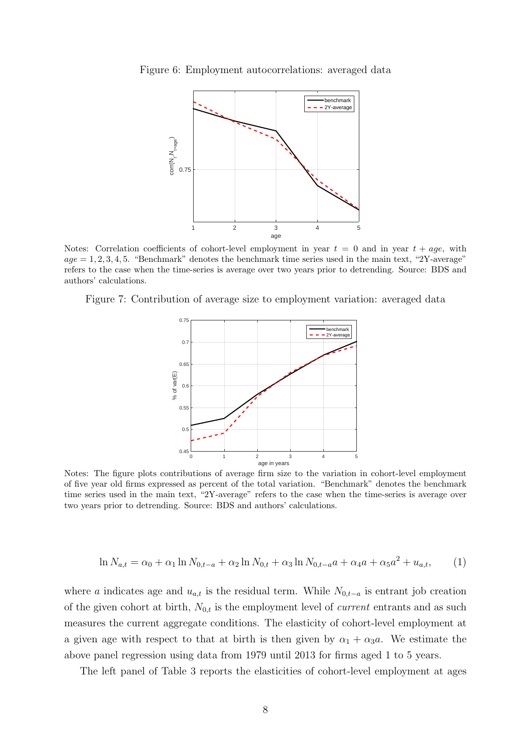



Notes: Correlation coefficients of cohort-level employment in year  $t = 0$  and in year  $t + age$ , with  $age = 1, 2, 3, 4, 5.$  "Benchmark" denotes the benchmark time series used in the main text, "2Y-average" refers to the case when the time-series is average over two years prior to detrending. Source: BDS and authors' calculations.

Figure 7: Contribution of average size to employment variation: averaged data



Notes: The figure plots contributions of average firm size to the variation in cohort-level employment of five year old firms expressed as percent of the total variation. "Benchmark" denotes the benchmark time series used in the main text, "2Y-average" refers to the case when the time-series is average over two years prior to detrending. Source: BDS and authors' calculations.

$$
\ln N_{a,t} = \alpha_0 + \alpha_1 \ln N_{0,t-a} + \alpha_2 \ln N_{0,t} + \alpha_3 \ln N_{0,t-a} a + \alpha_4 a + \alpha_5 a^2 + u_{a,t},\tag{1}
$$

where a indicates age and  $u_{a,t}$  is the residual term. While  $N_{0,t-a}$  is entrant job creation of the given cohort at birth,  $N_{0,t}$  is the employment level of *current* entrants and as such measures the current aggregate conditions. The elasticity of cohort-level employment at a given age with respect to that at birth is then given by  $\alpha_1 + \alpha_3 a$ . We estimate the above panel regression using data from 1979 until 2013 for firms aged 1 to 5 years.

The left panel of Table 3 reports the elasticities of cohort-level employment at ages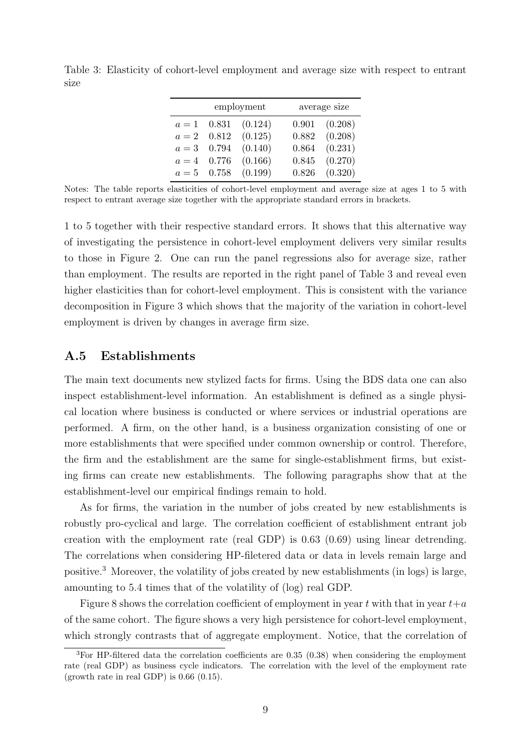|       |               | employment            |       | average size      |
|-------|---------------|-----------------------|-------|-------------------|
|       | $a = 1$ 0.831 | (0.124)               | 0.901 | (0.208)           |
| $a=2$ |               | $0.812 \quad (0.125)$ |       | $0.882$ $(0.208)$ |
|       | $a = 3$ 0.794 | (0.140)               | 0.864 | (0.231)           |
| $a=4$ |               | $0.776$ $(0.166)$     |       | $0.845$ $(0.270)$ |
|       | $a = 5$ 0.758 | (0.199)               |       | $0.826$ $(0.320)$ |

Table 3: Elasticity of cohort-level employment and average size with respect to entrant size

Notes: The table reports elasticities of cohort-level employment and average size at ages 1 to 5 with respect to entrant average size together with the appropriate standard errors in brackets.

1 to 5 together with their respective standard errors. It shows that this alternative way of investigating the persistence in cohort-level employment delivers very similar results to those in Figure 2. One can run the panel regressions also for average size, rather than employment. The results are reported in the right panel of Table 3 and reveal even higher elasticities than for cohort-level employment. This is consistent with the variance decomposition in Figure 3 which shows that the majority of the variation in cohort-level employment is driven by changes in average firm size.

#### A.5 Establishments

The main text documents new stylized facts for firms. Using the BDS data one can also inspect establishment-level information. An establishment is defined as a single physical location where business is conducted or where services or industrial operations are performed. A firm, on the other hand, is a business organization consisting of one or more establishments that were specified under common ownership or control. Therefore, the firm and the establishment are the same for single-establishment firms, but existing firms can create new establishments. The following paragraphs show that at the establishment-level our empirical findings remain to hold.

As for firms, the variation in the number of jobs created by new establishments is robustly pro-cyclical and large. The correlation coefficient of establishment entrant job creation with the employment rate (real GDP) is 0.63 (0.69) using linear detrending. The correlations when considering HP-filetered data or data in levels remain large and positive.<sup>3</sup> Moreover, the volatility of jobs created by new establishments (in logs) is large, amounting to 5.4 times that of the volatility of (log) real GDP.

Figure 8 shows the correlation coefficient of employment in year t with that in year  $t+a$ of the same cohort. The figure shows a very high persistence for cohort-level employment, which strongly contrasts that of aggregate employment. Notice, that the correlation of

<sup>3</sup>For HP-filtered data the correlation coefficients are 0.35 (0.38) when considering the employment rate (real GDP) as business cycle indicators. The correlation with the level of the employment rate (growth rate in real GDP) is  $0.66$   $(0.15)$ .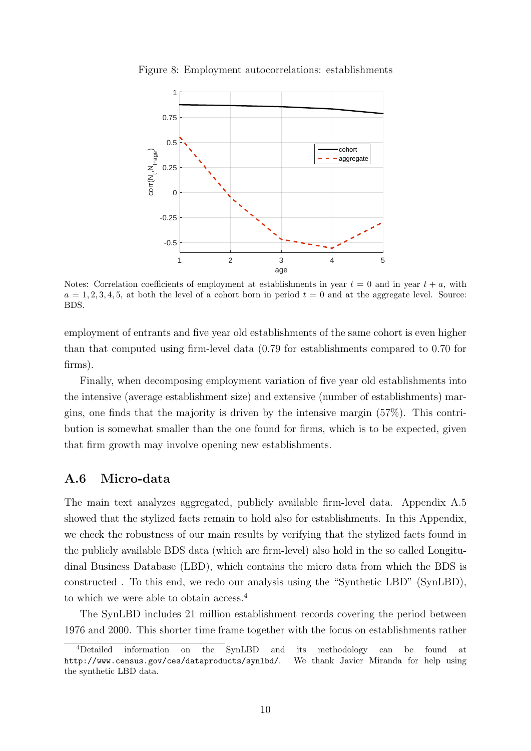

Figure 8: Employment autocorrelations: establishments

Notes: Correlation coefficients of employment at establishments in year  $t = 0$  and in year  $t + a$ , with  $a = 1, 2, 3, 4, 5$ , at both the level of a cohort born in period  $t = 0$  and at the aggregate level. Source: BDS.

employment of entrants and five year old establishments of the same cohort is even higher than that computed using firm-level data (0.79 for establishments compared to 0.70 for firms).

Finally, when decomposing employment variation of five year old establishments into the intensive (average establishment size) and extensive (number of establishments) margins, one finds that the majority is driven by the intensive margin (57%). This contribution is somewhat smaller than the one found for firms, which is to be expected, given that firm growth may involve opening new establishments.

#### A.6 Micro-data

The main text analyzes aggregated, publicly available firm-level data. Appendix A.5 showed that the stylized facts remain to hold also for establishments. In this Appendix, we check the robustness of our main results by verifying that the stylized facts found in the publicly available BDS data (which are firm-level) also hold in the so called Longitudinal Business Database (LBD), which contains the micro data from which the BDS is constructed . To this end, we redo our analysis using the "Synthetic LBD" (SynLBD), to which we were able to obtain access.<sup>4</sup>

The SynLBD includes 21 million establishment records covering the period between 1976 and 2000. This shorter time frame together with the focus on establishments rather

<sup>4</sup>Detailed information on the SynLBD and its methodology can be found at http://www.census.gov/ces/dataproducts/synlbd/. We thank Javier Miranda for help using the synthetic LBD data.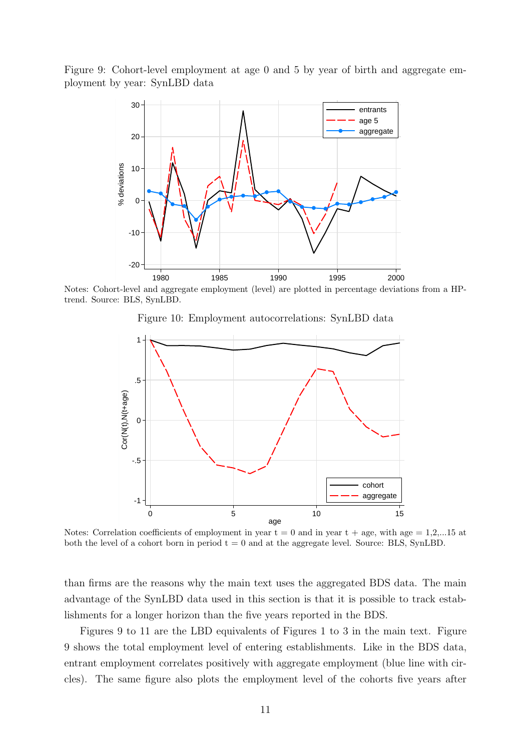Figure 9: Cohort-level employment at age 0 and 5 by year of birth and aggregate employment by year: SynLBD data



Notes: Cohort-level and aggregate employment (level) are plotted in percentage deviations from a HPtrend. Source: BLS, SynLBD.

Figure 10: Employment autocorrelations: SynLBD data



Notes: Correlation coefficients of employment in year  $t = 0$  and in year  $t + age$ , with age  $= 1,2,...15$  at both the level of a cohort born in period  $t = 0$  and at the aggregate level. Source: BLS, SynLBD.

than firms are the reasons why the main text uses the aggregated BDS data. The main advantage of the SynLBD data used in this section is that it is possible to track establishments for a longer horizon than the five years reported in the BDS.

Figures 9 to 11 are the LBD equivalents of Figures 1 to 3 in the main text. Figure 9 shows the total employment level of entering establishments. Like in the BDS data, entrant employment correlates positively with aggregate employment (blue line with circles). The same figure also plots the employment level of the cohorts five years after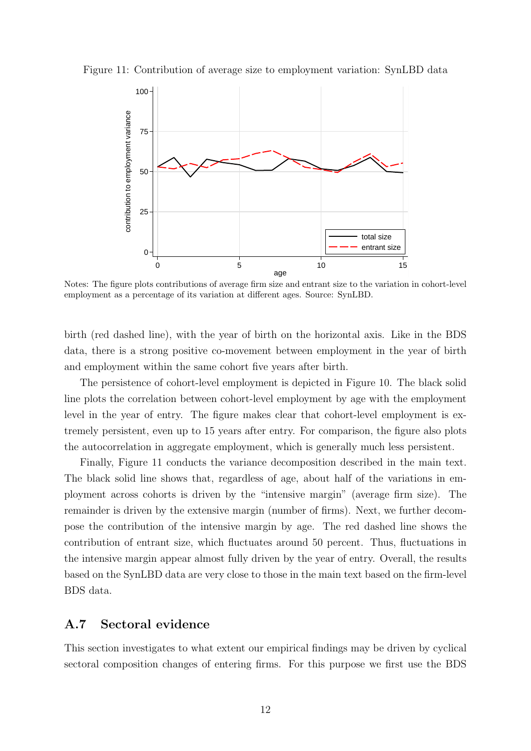Figure 11: Contribution of average size to employment variation: SynLBD data



Notes: The figure plots contributions of average firm size and entrant size to the variation in cohort-level employment as a percentage of its variation at different ages. Source: SynLBD.

birth (red dashed line), with the year of birth on the horizontal axis. Like in the BDS data, there is a strong positive co-movement between employment in the year of birth and employment within the same cohort five years after birth.

The persistence of cohort-level employment is depicted in Figure 10. The black solid line plots the correlation between cohort-level employment by age with the employment level in the year of entry. The figure makes clear that cohort-level employment is extremely persistent, even up to 15 years after entry. For comparison, the figure also plots the autocorrelation in aggregate employment, which is generally much less persistent.

Finally, Figure 11 conducts the variance decomposition described in the main text. The black solid line shows that, regardless of age, about half of the variations in employment across cohorts is driven by the "intensive margin" (average firm size). The remainder is driven by the extensive margin (number of firms). Next, we further decompose the contribution of the intensive margin by age. The red dashed line shows the contribution of entrant size, which fluctuates around 50 percent. Thus, fluctuations in the intensive margin appear almost fully driven by the year of entry. Overall, the results based on the SynLBD data are very close to those in the main text based on the firm-level BDS data.

#### A.7 Sectoral evidence

This section investigates to what extent our empirical findings may be driven by cyclical sectoral composition changes of entering firms. For this purpose we first use the BDS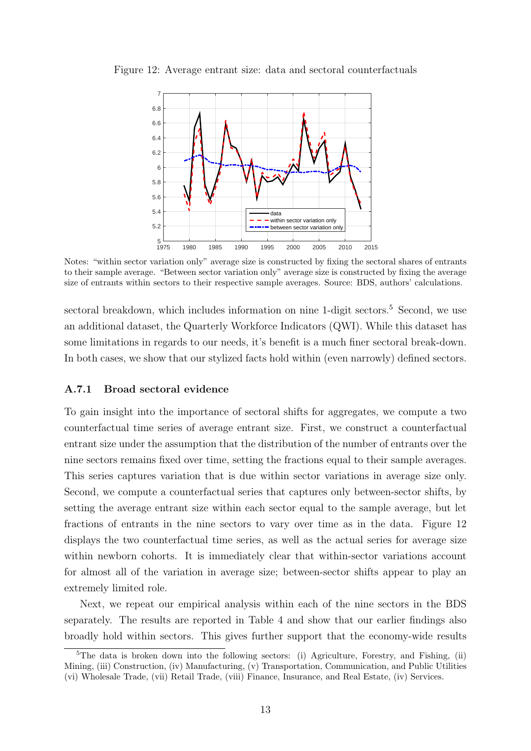

Figure 12: Average entrant size: data and sectoral counterfactuals

Notes: "within sector variation only" average size is constructed by fixing the sectoral shares of entrants to their sample average. "Between sector variation only" average size is constructed by fixing the average size of entrants within sectors to their respective sample averages. Source: BDS, authors' calculations.

sectoral breakdown, which includes information on nine 1-digit sectors.<sup>5</sup> Second, we use an additional dataset, the Quarterly Workforce Indicators (QWI). While this dataset has some limitations in regards to our needs, it's benefit is a much finer sectoral break-down. In both cases, we show that our stylized facts hold within (even narrowly) defined sectors.

#### A.7.1 Broad sectoral evidence

To gain insight into the importance of sectoral shifts for aggregates, we compute a two counterfactual time series of average entrant size. First, we construct a counterfactual entrant size under the assumption that the distribution of the number of entrants over the nine sectors remains fixed over time, setting the fractions equal to their sample averages. This series captures variation that is due within sector variations in average size only. Second, we compute a counterfactual series that captures only between-sector shifts, by setting the average entrant size within each sector equal to the sample average, but let fractions of entrants in the nine sectors to vary over time as in the data. Figure 12 displays the two counterfactual time series, as well as the actual series for average size within newborn cohorts. It is immediately clear that within-sector variations account for almost all of the variation in average size; between-sector shifts appear to play an extremely limited role.

Next, we repeat our empirical analysis within each of the nine sectors in the BDS separately. The results are reported in Table 4 and show that our earlier findings also broadly hold within sectors. This gives further support that the economy-wide results

<sup>&</sup>lt;sup>5</sup>The data is broken down into the following sectors: (i) Agriculture, Forestry, and Fishing, (ii) Mining, (iii) Construction, (iv) Manufacturing, (v) Transportation, Communication, and Public Utilities (vi) Wholesale Trade, (vii) Retail Trade, (viii) Finance, Insurance, and Real Estate, (iv) Services.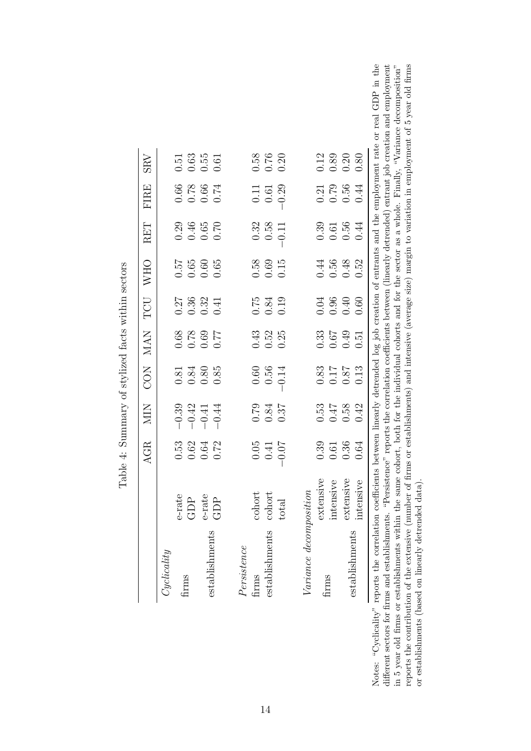|                                                                                                                              |                 | <b>AGR</b>                                          | <b>NIN</b>                                                       | <b>CON</b>                                                  | <b>NAN</b>                                                        | TCU                                                         | <b>WHO</b>                                                  | RET                                                  | <b>FIRE</b>                                                                            | <b>SRV</b>                                          |
|------------------------------------------------------------------------------------------------------------------------------|-----------------|-----------------------------------------------------|------------------------------------------------------------------|-------------------------------------------------------------|-------------------------------------------------------------------|-------------------------------------------------------------|-------------------------------------------------------------|------------------------------------------------------|----------------------------------------------------------------------------------------|-----------------------------------------------------|
| Cyclicality                                                                                                                  |                 |                                                     |                                                                  |                                                             |                                                                   |                                                             |                                                             |                                                      |                                                                                        |                                                     |
|                                                                                                                              | e-rate          |                                                     |                                                                  |                                                             |                                                                   |                                                             |                                                             |                                                      |                                                                                        |                                                     |
| firms                                                                                                                        | GDP             | $0.53$<br>$0.62$<br>$0.64$<br>$0.72$                | $\begin{array}{r} -0.39 \\ -0.41 \\ -0.41 \\ \hline \end{array}$ | $0.81$<br>$0.84$<br>$0.85$<br>$0.85$                        | $\begin{array}{c} 7.7 \\ 6.0 \\ 0.0 \\ 0.0 \\ 0.0 \\ \end{array}$ | $\begin{array}{c} 0.27 \\ 0.36 \\ 0.32 \\ 0.41 \end{array}$ | $\begin{array}{c} 0.57 \\ 0.65 \\ 0.60 \\ 0.65 \end{array}$ | $0.29$<br>$0.46$<br>$0.65$<br>$0.70$                 | $\begin{array}{c} 1200 \\ 1200 \\ 0 \\ 0 \\ 0 \\ 0 \\ 0 \\ 0 \\ 0 \\ 0 \\ \end{array}$ | $0.51$<br>$0.63$<br>$0.61$<br>$0.61$                |
|                                                                                                                              | e-rate          |                                                     |                                                                  |                                                             |                                                                   |                                                             |                                                             |                                                      |                                                                                        |                                                     |
| establishments                                                                                                               | GDP             |                                                     |                                                                  |                                                             |                                                                   |                                                             |                                                             |                                                      |                                                                                        |                                                     |
| Persistence                                                                                                                  |                 |                                                     |                                                                  |                                                             |                                                                   |                                                             |                                                             |                                                      |                                                                                        |                                                     |
| firms                                                                                                                        | cohort          |                                                     |                                                                  |                                                             |                                                                   |                                                             |                                                             |                                                      |                                                                                        |                                                     |
|                                                                                                                              |                 |                                                     |                                                                  |                                                             |                                                                   |                                                             |                                                             |                                                      |                                                                                        |                                                     |
| establishments                                                                                                               | cohort          |                                                     |                                                                  |                                                             |                                                                   |                                                             |                                                             |                                                      | $\begin{array}{c} 0.11 \\ 0.61 \end{array}$                                            |                                                     |
|                                                                                                                              | otal            | $0.05$<br>0.41<br>0.07                              | $\begin{array}{c} 0.79 \\ 0.84 \\ 0.37 \end{array}$              | $0.56$<br>$0.56$<br>$-0.14$                                 | $0.52$<br>$0.52$<br>$0.25$                                        | $\begin{array}{c} 0.75 \\ 0.84 \\ 0.19 \end{array}$         | $\begin{array}{c} 0.58 \\ 0.69 \\ 0.15 \end{array}$         | $\begin{array}{c} 0.32 \\ 0.58 \\ -0.11 \end{array}$ | $-0.29$                                                                                | $0.58$<br>$0.76$<br>$0.20$                          |
|                                                                                                                              |                 |                                                     |                                                                  |                                                             |                                                                   |                                                             |                                                             |                                                      |                                                                                        |                                                     |
| $Variance$ decompo                                                                                                           | $v$ o $i$ ition |                                                     |                                                                  |                                                             |                                                                   |                                                             |                                                             |                                                      |                                                                                        |                                                     |
|                                                                                                                              | extensive       |                                                     |                                                                  |                                                             |                                                                   |                                                             |                                                             |                                                      |                                                                                        |                                                     |
| firms                                                                                                                        | intensive       |                                                     |                                                                  |                                                             |                                                                   |                                                             | $0.44$<br>$0.56$<br>$0.48$                                  |                                                      |                                                                                        | $\begin{array}{c} 0.12 \\ 0.89 \\ 0.20 \end{array}$ |
|                                                                                                                              | extensive       | $\begin{array}{c} 0.39 \\ 0.61 \\ 0.36 \end{array}$ | $0.53$<br>0.47<br>0.58                                           | $\begin{array}{c} 0.83 \\ 0.17 \\ 0.87 \\ 0.13 \end{array}$ | $\begin{array}{c} 0.33 \\ 0.67 \\ 0.49 \\ 0.51 \end{array}$       | $0.04$<br>0.96<br>0.60<br>0.60                              |                                                             | $\begin{array}{c} 0.39 \\ 0.56 \\ 0.56 \end{array}$  | $0.79$<br>$0.56$<br>$0.44$                                                             |                                                     |
| establishments                                                                                                               | mtensive        | 0.64                                                | 0.42                                                             |                                                             |                                                                   |                                                             | 0.52                                                        |                                                      |                                                                                        | 0.80                                                |
| reports the correlation coefficients between linearly detrended log job creation of entrants and the employment rate or reai |                 |                                                     |                                                                  |                                                             |                                                                   |                                                             |                                                             |                                                      |                                                                                        |                                                     |

Table 4: Summary of stylized facts within sectors  $\frac{1}{2}$  $\overline{\phantom{a}}$  $\ddot{ }$  $\overline{c}$  $\sigma$  $\ddot{\phantom{0}}$  $T_{\rm e}$   $L_{\rm H}$ 

 $1$  GDP in the  $\,$ different sectors for firms and establishments. "Persistence" reports the correlation coefficients between (linearly detrended) entrant job creation and employment in 5 year old firms or establishments within the same coho reports the contribution of the extensive (number of firms or establishments) and intensive (average size) margin to variation in employment of 5 year old firms Notes: "Cyclicality" reports the correlation coefficients between linearly detrended log job creation of entrants and the employment rate or real GDP in the different sectors for firms and establishments. "Persistence" reports the correlation coefficients between (linearly detrended) entrant job creation and employment in 5 year old firms or establishments within the same cohort, both for the individual cohorts and for the sector as a whole. Finally, "Variance decomposition" reports the contribution of the extensive (number of firms or establishments) and intensive (average size) margin to variation in employment of 5 year old firms or establishments (based on linearly detrended data). or establishments (based on linearly detrended data). Notes: "Cyclicality" re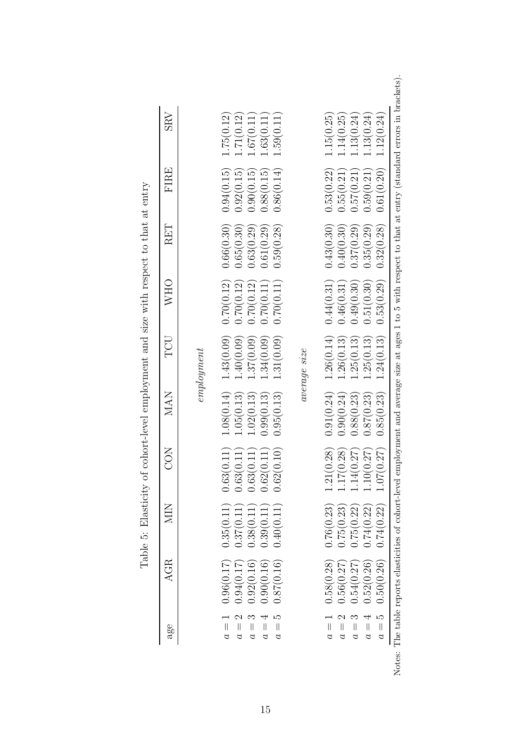| $a$ ge                         | <b>AGR</b> | NIN        | <b>CON</b>                   | <b>MAN</b> | TCU          | WHO           | RET        | FIRE       | SRV          |
|--------------------------------|------------|------------|------------------------------|------------|--------------|---------------|------------|------------|--------------|
|                                |            |            |                              |            | emplogment   |               |            |            |              |
| $a =$                          | 0.96(0.17) | 0.35(0.11) | (0.11)<br>0.63(              | 1.08(0.14) | 1.43(0.09)   | 0.70(0.12)    | 0.66(0.30) | 0.94(0.15) | 1.75(0.12)   |
| ↘<br>$\mid \mid$<br>a          | 0.94(0.17) | 0.37(0.11  | (0.11)<br>0.63(              | 1.05(0.13) | 1.40(0.09)   | 0.70(0.12)    | 0.65(0.30) | 0.92(0.15) | 1.71(0.12)   |
| $\mid \mid$<br>d               | 0.92(0.16) | 0.38(0.11) | (0.11)<br>0.63(              | .02(0.13)  | 1.37(0.09)   | 0.70(0.12)    | 0.63(0.29) | 0.90(0.15) | $-.67(0.11)$ |
| $\left  {}\right $<br>$\sigma$ | 0.90(0.16) | 1.39(0.11  | (0.11)<br>0.62(              | 0.99(0.13) | .34(0.09)    | 1.70 $(0.11)$ | 0.61(0.29) | 0.88(0.15) | 1.63(0.11)   |
| ນດ<br>$\mid \mid$<br>$\alpha$  | 0.87(0.16) | 0.40(0.11) | (0.10)<br>0.62(              | 0.95(0.13) | 1.31(0.09)   | 0.70(0.11)    | 0.59(0.28) | 0.86(0.14) | 1.59(0.11)   |
|                                |            |            |                              |            | average size |               |            |            |              |
| $a =$                          | 0.58(0.28) | 0.76(0.23) | 1.21(0.28)                   | 0.91(0.24) | 1.26(0.14)   | 0.44(0.31)    | 0.43(0.30) | 0.53(0.22) | 1.15(0.25)   |
| $\overline{\mathcal{L}}$<br>d  | 0.56(0.27) | 0.75(0.23) |                              | 0.90(0.24) | .26(0.13)    | 0.46(0.31)    | 0.40(0.30) | 0.55(0.21) | 1.14(0.25)   |
| $\left  {}\right $<br>S        | 0.54(0.27) | 0.75(0.22) | $1.17(0.28)$<br>$1.14(0.27)$ | 0.88(0.23) | 1.25(0.13)   | 0.49(0.30)    | 0.37(0.29) | 0.57(0.21) | 1.13(0.24)   |
| $\left  {}\right $<br>$\alpha$ | 0.52(0.26) | 0.74(0.22) | 1.10(0.27)                   | 0.87(0.23) | .25(0.13)    | 0.51(0.30)    | 0.35(0.29) | 0.59(0.21) | 1.13(0.24)   |
| LΩ<br>$a =$                    | 0.50(0.26) | 0.74(0.22) | (0.27)<br>1.07               | 0.85(0.23) | .24(0.13)    | 0.53(0.29)    | 0.32(0.28) | 0.61(0.20) | 1.12(0.24)   |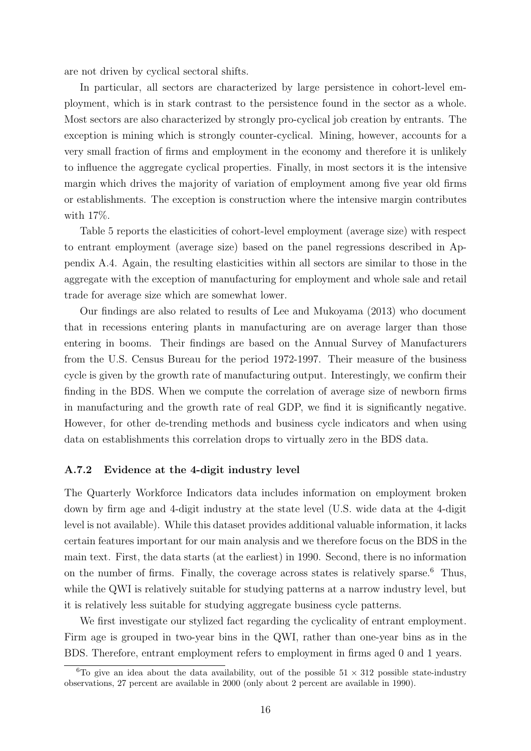are not driven by cyclical sectoral shifts.

In particular, all sectors are characterized by large persistence in cohort-level employment, which is in stark contrast to the persistence found in the sector as a whole. Most sectors are also characterized by strongly pro-cyclical job creation by entrants. The exception is mining which is strongly counter-cyclical. Mining, however, accounts for a very small fraction of firms and employment in the economy and therefore it is unlikely to influence the aggregate cyclical properties. Finally, in most sectors it is the intensive margin which drives the majority of variation of employment among five year old firms or establishments. The exception is construction where the intensive margin contributes with 17%.

Table 5 reports the elasticities of cohort-level employment (average size) with respect to entrant employment (average size) based on the panel regressions described in Appendix A.4. Again, the resulting elasticities within all sectors are similar to those in the aggregate with the exception of manufacturing for employment and whole sale and retail trade for average size which are somewhat lower.

Our findings are also related to results of Lee and Mukoyama (2013) who document that in recessions entering plants in manufacturing are on average larger than those entering in booms. Their findings are based on the Annual Survey of Manufacturers from the U.S. Census Bureau for the period 1972-1997. Their measure of the business cycle is given by the growth rate of manufacturing output. Interestingly, we confirm their finding in the BDS. When we compute the correlation of average size of newborn firms in manufacturing and the growth rate of real GDP, we find it is significantly negative. However, for other de-trending methods and business cycle indicators and when using data on establishments this correlation drops to virtually zero in the BDS data.

#### A.7.2 Evidence at the 4-digit industry level

The Quarterly Workforce Indicators data includes information on employment broken down by firm age and 4-digit industry at the state level (U.S. wide data at the 4-digit level is not available). While this dataset provides additional valuable information, it lacks certain features important for our main analysis and we therefore focus on the BDS in the main text. First, the data starts (at the earliest) in 1990. Second, there is no information on the number of firms. Finally, the coverage across states is relatively sparse. $6$  Thus, while the QWI is relatively suitable for studying patterns at a narrow industry level, but it is relatively less suitable for studying aggregate business cycle patterns.

We first investigate our stylized fact regarding the cyclicality of entrant employment. Firm age is grouped in two-year bins in the QWI, rather than one-year bins as in the BDS. Therefore, entrant employment refers to employment in firms aged 0 and 1 years.

<sup>&</sup>lt;sup>6</sup>To give an idea about the data availability, out of the possible  $51 \times 312$  possible state-industry observations, 27 percent are available in 2000 (only about 2 percent are available in 1990).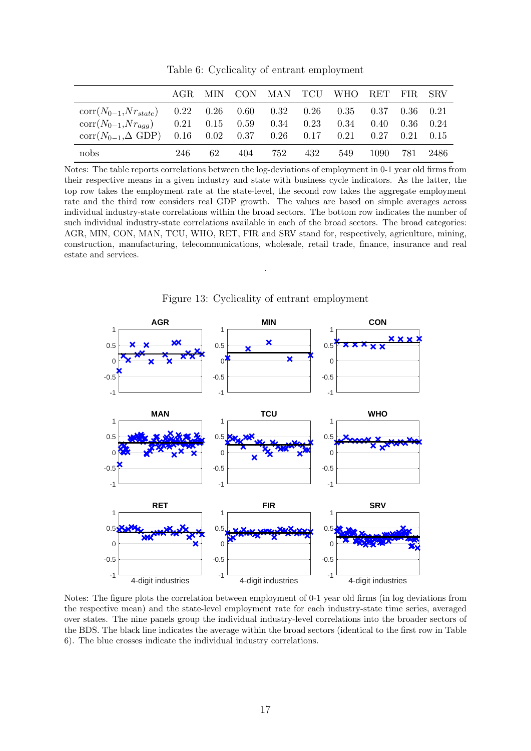|                                                                             |     |    |         |     | AGR MIN CON MAN TCU WHO RET FIR SRV                            |               |  |
|-----------------------------------------------------------------------------|-----|----|---------|-----|----------------------------------------------------------------|---------------|--|
| $corr(N_{0-1}, Nr_{state})$ 0.22 0.26 0.60 0.32 0.26 0.35 0.37 0.36 0.21    |     |    |         |     |                                                                |               |  |
| $\text{corr}(N_{0-1}, N r_{aqq})$                                           |     |    |         |     | $0.21$ $0.15$ $0.59$ $0.34$ $0.23$ $0.34$ $0.40$ $0.36$ $0.24$ |               |  |
| $corr(N_{0-1}, \Delta$ GDP $)$ 0.16 0.02 0.37 0.26 0.17 0.21 0.27 0.21 0.15 |     |    |         |     |                                                                |               |  |
| nobs                                                                        | 246 | 62 | 404 752 | 432 | 549                                                            | 1090 781 2486 |  |

Table 6: Cyclicality of entrant employment

Notes: The table reports correlations between the log-deviations of employment in 0-1 year old firms from their respective means in a given industry and state with business cycle indicators. As the latter, the top row takes the employment rate at the state-level, the second row takes the aggregate employment rate and the third row considers real GDP growth. The values are based on simple averages across individual industry-state correlations within the broad sectors. The bottom row indicates the number of such individual industry-state correlations available in each of the broad sectors. The broad categories: AGR, MIN, CON, MAN, TCU, WHO, RET, FIR and SRV stand for, respectively, agriculture, mining, construction, manufacturing, telecommunications, wholesale, retail trade, finance, insurance and real estate and services.



Figure 13: Cyclicality of entrant employment

.

Notes: The figure plots the correlation between employment of 0-1 year old firms (in log deviations from the respective mean) and the state-level employment rate for each industry-state time series, averaged over states. The nine panels group the individual industry-level correlations into the broader sectors of the BDS. The black line indicates the average within the broad sectors (identical to the first row in Table 6). The blue crosses indicate the individual industry correlations.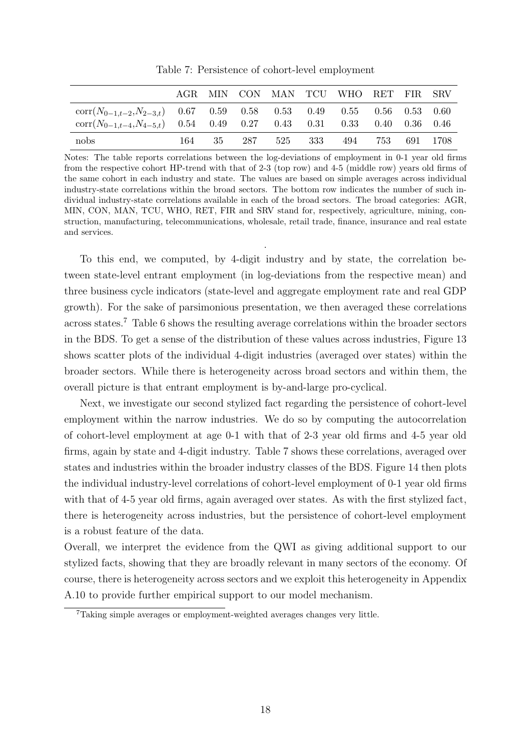|                                                                                   |  |  | AGR MIN CON MAN TCU WHO RET FIR SRV |  |  |
|-----------------------------------------------------------------------------------|--|--|-------------------------------------|--|--|
| $\text{corr}(N_{0-1,t-2},N_{2-3,t})$ 0.67 0.59 0.58 0.53 0.49 0.55 0.56 0.53 0.60 |  |  |                                     |  |  |
| $corr(N_{0-1,t-4}, N_{4-5,t})$ 0.54 0.49 0.27 0.43 0.31 0.33 0.40 0.36 0.46       |  |  |                                     |  |  |

Table 7: Persistence of cohort-level employment

Notes: The table reports correlations between the log-deviations of employment in 0-1 year old firms from the respective cohort HP-trend with that of 2-3 (top row) and 4-5 (middle row) years old firms of the same cohort in each industry and state. The values are based on simple averages across individual industry-state correlations within the broad sectors. The bottom row indicates the number of such individual industry-state correlations available in each of the broad sectors. The broad categories: AGR, MIN, CON, MAN, TCU, WHO, RET, FIR and SRV stand for, respectively, agriculture, mining, construction, manufacturing, telecommunications, wholesale, retail trade, finance, insurance and real estate and services.

.

nobs 164 35 287 525 333 494 753 691 1708

To this end, we computed, by 4-digit industry and by state, the correlation between state-level entrant employment (in log-deviations from the respective mean) and three business cycle indicators (state-level and aggregate employment rate and real GDP growth). For the sake of parsimonious presentation, we then averaged these correlations across states.<sup>7</sup> Table 6 shows the resulting average correlations within the broader sectors in the BDS. To get a sense of the distribution of these values across industries, Figure 13 shows scatter plots of the individual 4-digit industries (averaged over states) within the broader sectors. While there is heterogeneity across broad sectors and within them, the overall picture is that entrant employment is by-and-large pro-cyclical.

Next, we investigate our second stylized fact regarding the persistence of cohort-level employment within the narrow industries. We do so by computing the autocorrelation of cohort-level employment at age 0-1 with that of 2-3 year old firms and 4-5 year old firms, again by state and 4-digit industry. Table 7 shows these correlations, averaged over states and industries within the broader industry classes of the BDS. Figure 14 then plots the individual industry-level correlations of cohort-level employment of 0-1 year old firms with that of 4-5 year old firms, again averaged over states. As with the first stylized fact, there is heterogeneity across industries, but the persistence of cohort-level employment is a robust feature of the data.

Overall, we interpret the evidence from the QWI as giving additional support to our stylized facts, showing that they are broadly relevant in many sectors of the economy. Of course, there is heterogeneity across sectors and we exploit this heterogeneity in Appendix A.10 to provide further empirical support to our model mechanism.

<sup>7</sup>Taking simple averages or employment-weighted averages changes very little.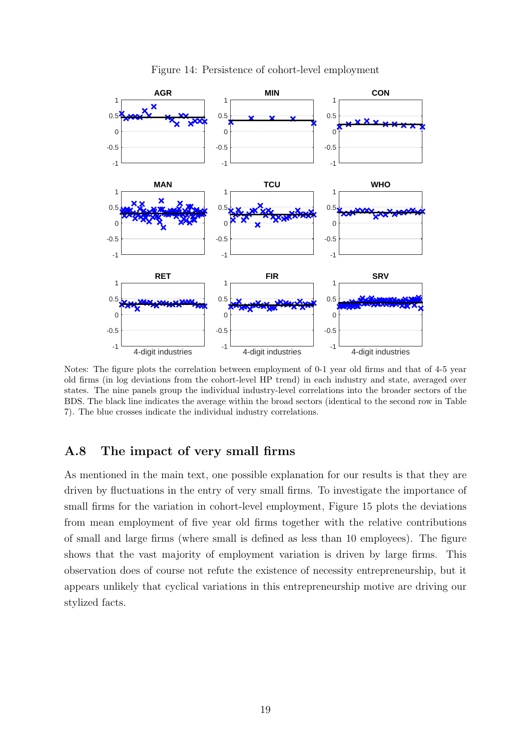

Figure 14: Persistence of cohort-level employment

Notes: The figure plots the correlation between employment of 0-1 year old firms and that of 4-5 year old firms (in log deviations from the cohort-level HP trend) in each industry and state, averaged over states. The nine panels group the individual industry-level correlations into the broader sectors of the BDS. The black line indicates the average within the broad sectors (identical to the second row in Table 7). The blue crosses indicate the individual industry correlations.

#### A.8 The impact of very small firms

As mentioned in the main text, one possible explanation for our results is that they are driven by fluctuations in the entry of very small firms. To investigate the importance of small firms for the variation in cohort-level employment, Figure 15 plots the deviations from mean employment of five year old firms together with the relative contributions of small and large firms (where small is defined as less than 10 employees). The figure shows that the vast majority of employment variation is driven by large firms. This observation does of course not refute the existence of necessity entrepreneurship, but it appears unlikely that cyclical variations in this entrepreneurship motive are driving our stylized facts.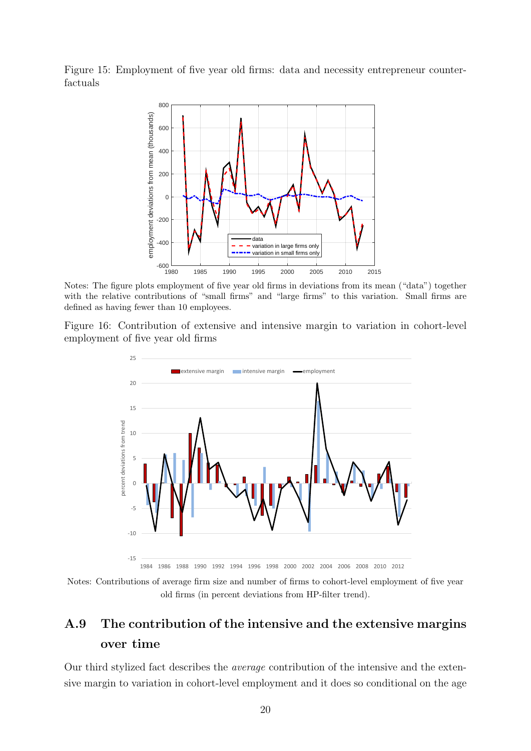Figure 15: Employment of five year old firms: data and necessity entrepreneur counterfactuals



Notes: The figure plots employment of five year old firms in deviations from its mean ("data") together with the relative contributions of "small firms" and "large firms" to this variation. Small firms are defined as having fewer than 10 employees.

Figure 16: Contribution of extensive and intensive margin to variation in cohort-level employment of five year old firms



Notes: Contributions of average firm size and number of firms to cohort-level employment of five year old firms (in percent deviations from HP-filter trend).

## A.9 The contribution of the intensive and the extensive margins over time

Our third stylized fact describes the average contribution of the intensive and the extensive margin to variation in cohort-level employment and it does so conditional on the age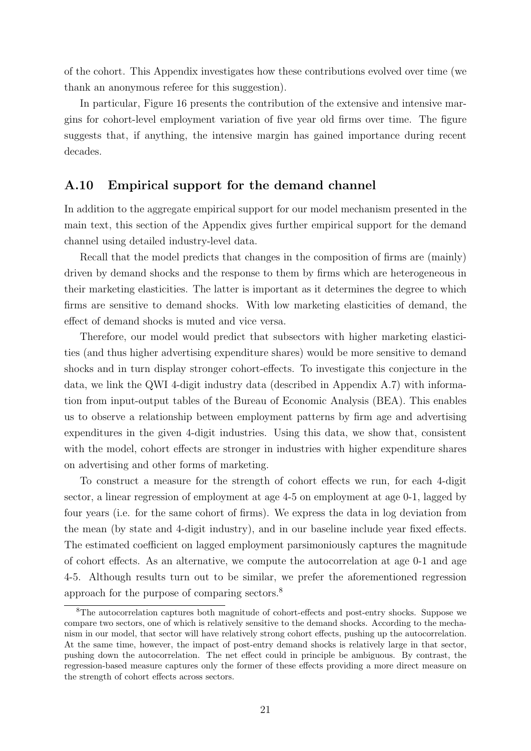of the cohort. This Appendix investigates how these contributions evolved over time (we thank an anonymous referee for this suggestion).

In particular, Figure 16 presents the contribution of the extensive and intensive margins for cohort-level employment variation of five year old firms over time. The figure suggests that, if anything, the intensive margin has gained importance during recent decades.

#### A.10 Empirical support for the demand channel

In addition to the aggregate empirical support for our model mechanism presented in the main text, this section of the Appendix gives further empirical support for the demand channel using detailed industry-level data.

Recall that the model predicts that changes in the composition of firms are (mainly) driven by demand shocks and the response to them by firms which are heterogeneous in their marketing elasticities. The latter is important as it determines the degree to which firms are sensitive to demand shocks. With low marketing elasticities of demand, the effect of demand shocks is muted and vice versa.

Therefore, our model would predict that subsectors with higher marketing elasticities (and thus higher advertising expenditure shares) would be more sensitive to demand shocks and in turn display stronger cohort-effects. To investigate this conjecture in the data, we link the QWI 4-digit industry data (described in Appendix A.7) with information from input-output tables of the Bureau of Economic Analysis (BEA). This enables us to observe a relationship between employment patterns by firm age and advertising expenditures in the given 4-digit industries. Using this data, we show that, consistent with the model, cohort effects are stronger in industries with higher expenditure shares on advertising and other forms of marketing.

To construct a measure for the strength of cohort effects we run, for each 4-digit sector, a linear regression of employment at age 4-5 on employment at age 0-1, lagged by four years (i.e. for the same cohort of firms). We express the data in log deviation from the mean (by state and 4-digit industry), and in our baseline include year fixed effects. The estimated coefficient on lagged employment parsimoniously captures the magnitude of cohort effects. As an alternative, we compute the autocorrelation at age 0-1 and age 4-5. Although results turn out to be similar, we prefer the aforementioned regression approach for the purpose of comparing sectors.<sup>8</sup>

<sup>8</sup>The autocorrelation captures both magnitude of cohort-effects and post-entry shocks. Suppose we compare two sectors, one of which is relatively sensitive to the demand shocks. According to the mechanism in our model, that sector will have relatively strong cohort effects, pushing up the autocorrelation. At the same time, however, the impact of post-entry demand shocks is relatively large in that sector, pushing down the autocorrelation. The net effect could in principle be ambiguous. By contrast, the regression-based measure captures only the former of these effects providing a more direct measure on the strength of cohort effects across sectors.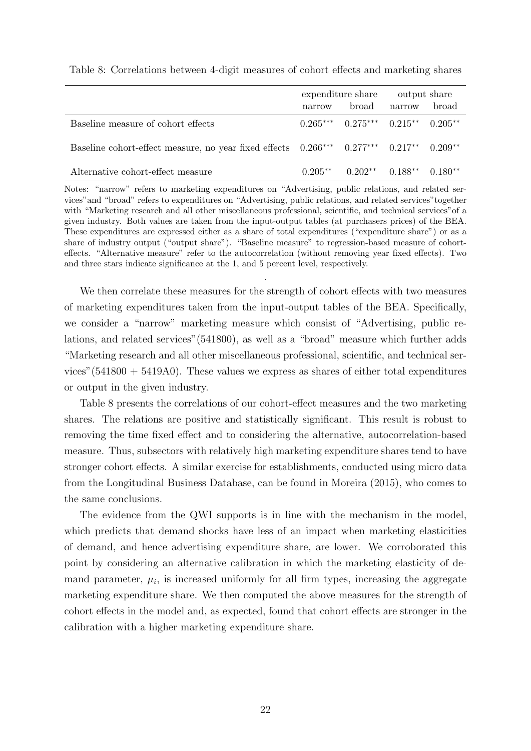|                                                                                                 |        | expenditure share                         | output share |       |
|-------------------------------------------------------------------------------------------------|--------|-------------------------------------------|--------------|-------|
|                                                                                                 | narrow | broad                                     | narrow       | broad |
| Baseline measure of cohort effects                                                              |        | $0.265***$ $0.275***$ $0.215**$ $0.205**$ |              |       |
| Baseline cohort-effect measure, no year fixed effects $0.266***$ $0.277***$ $0.217**$ $0.209**$ |        |                                           |              |       |
| Alternative cohort-effect measure                                                               |        | $0.205***$ $0.202***$ $0.188**$ $0.180**$ |              |       |

Table 8: Correlations between 4-digit measures of cohort effects and marketing shares

Notes: "narrow" refers to marketing expenditures on "Advertising, public relations, and related services"and "broad" refers to expenditures on "Advertising, public relations, and related services"together with "Marketing research and all other miscellaneous professional, scientific, and technical services" of a given industry. Both values are taken from the input-output tables (at purchasers prices) of the BEA. These expenditures are expressed either as a share of total expenditures ("expenditure share") or as a share of industry output ("output share"). "Baseline measure" to regression-based measure of cohorteffects. "Alternative measure" refer to the autocorrelation (without removing year fixed effects). Two and three stars indicate significance at the 1, and 5 percent level, respectively.

.

We then correlate these measures for the strength of cohort effects with two measures of marketing expenditures taken from the input-output tables of the BEA. Specifically, we consider a "narrow" marketing measure which consist of "Advertising, public relations, and related services"(541800), as well as a "broad" measure which further adds "Marketing research and all other miscellaneous professional, scientific, and technical services"  $(541800 + 5419A0)$ . These values we express as shares of either total expenditures or output in the given industry.

Table 8 presents the correlations of our cohort-effect measures and the two marketing shares. The relations are positive and statistically significant. This result is robust to removing the time fixed effect and to considering the alternative, autocorrelation-based measure. Thus, subsectors with relatively high marketing expenditure shares tend to have stronger cohort effects. A similar exercise for establishments, conducted using micro data from the Longitudinal Business Database, can be found in Moreira (2015), who comes to the same conclusions.

The evidence from the QWI supports is in line with the mechanism in the model, which predicts that demand shocks have less of an impact when marketing elasticities of demand, and hence advertising expenditure share, are lower. We corroborated this point by considering an alternative calibration in which the marketing elasticity of demand parameter,  $\mu_i$ , is increased uniformly for all firm types, increasing the aggregate marketing expenditure share. We then computed the above measures for the strength of cohort effects in the model and, as expected, found that cohort effects are stronger in the calibration with a higher marketing expenditure share.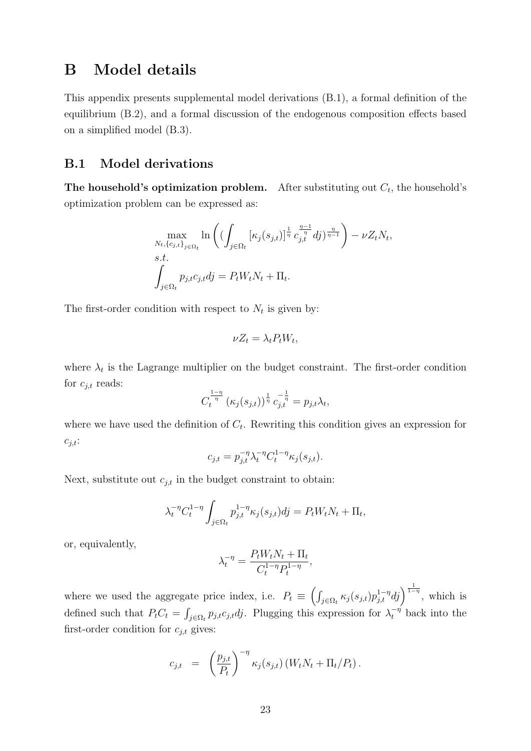## B Model details

This appendix presents supplemental model derivations (B.1), a formal definition of the equilibrium (B.2), and a formal discussion of the endogenous composition effects based on a simplified model (B.3).

#### B.1 Model derivations

The household's optimization problem. After substituting out  $C_t$ , the household's optimization problem can be expressed as:

$$
\max_{N_t, \{c_{j,t}\}_{j \in \Omega_t}} \ln \left( \left( \int_{j \in \Omega_t} \left[ \kappa_j(s_{j,t}) \right]^{\frac{1}{\eta}} c_{j,t}^{\frac{\eta - 1}{\eta}} dj \right)^{\frac{\eta}{\eta - 1}} \right) - \nu Z_t N_t,
$$
  
s.t.  

$$
\int_{j \in \Omega_t} p_{j,t} c_{j,t} dj = P_t W_t N_t + \Pi_t.
$$

The first-order condition with respect to  $N_t$  is given by:

$$
\nu Z_t = \lambda_t P_t W_t,
$$

where  $\lambda_t$  is the Lagrange multiplier on the budget constraint. The first-order condition for  $c_{j,t}$  reads:

$$
C_t^{\frac{1-\eta}{\eta}}\left(\kappa_j(s_{j,t})\right)^{\frac{1}{\eta}}c_{j,t}^{-\frac{1}{\eta}}=p_{j,t}\lambda_t,
$$

where we have used the definition of  $C_t$ . Rewriting this condition gives an expression for  $c_{j,t}$ :

$$
c_{j,t} = p_{j,t}^{-\eta} \lambda_t^{-\eta} C_t^{1-\eta} \kappa_j(s_{j,t}).
$$

Next, substitute out  $c_{j,t}$  in the budget constraint to obtain:

$$
\lambda_t^{-\eta} C_t^{1-\eta} \int_{j \in \Omega_t} p_{j,t}^{1-\eta} \kappa_j(s_{j,t}) d j = P_t W_t N_t + \Pi_t,
$$

or, equivalently,

$$
\lambda_t^{-\eta} = \frac{P_t W_t N_t + \Pi_t}{C_t^{1-\eta} P_t^{1-\eta}},
$$

where we used the aggregate price index, i.e.  $P_t \equiv \left( \int_{j \in \Omega_t} \kappa_j(s_{j,t}) p_{j,t}^{1-\eta} dj \right)^{\frac{1}{1-\eta}}$ , which is defined such that  $P_t C_t = \int_{j \in \Omega_t} p_{j,t} c_{j,t} d j$ . Plugging this expression for  $\lambda_t^{-\eta}$  back into the first-order condition for  $c_{i,t}$  gives:

$$
c_{j,t} = \left(\frac{p_{j,t}}{P_t}\right)^{-\eta} \kappa_j(s_{j,t}) \left(W_t N_t + \Pi_t / P_t\right).
$$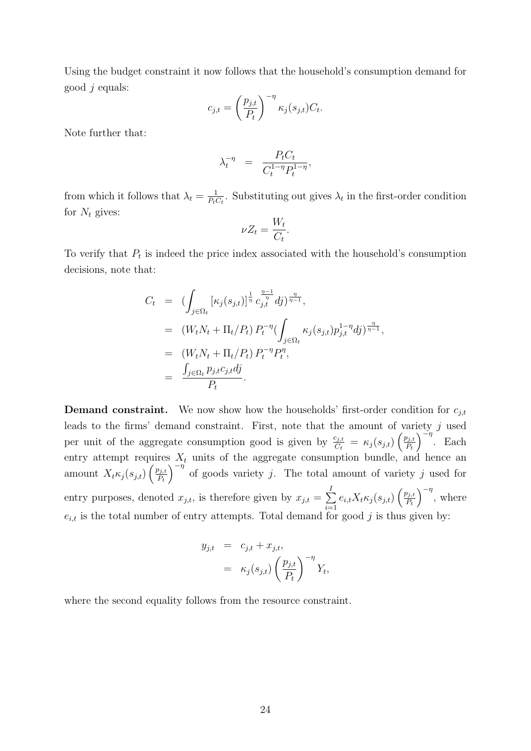Using the budget constraint it now follows that the household's consumption demand for good  $j$  equals:

$$
c_{j,t} = \left(\frac{p_{j,t}}{P_t}\right)^{-\eta} \kappa_j(s_{j,t}) C_t.
$$

Note further that:

$$
\lambda_t^{-\eta} = \frac{P_t C_t}{C_t^{1-\eta} P_t^{1-\eta}},
$$

from which it follows that  $\lambda_t = \frac{1}{P_t}$  $\frac{1}{P_t C_t}$ . Substituting out gives  $\lambda_t$  in the first-order condition for  $N_t$  gives:

$$
\nu Z_t = \frac{W_t}{C_t}.
$$

To verify that  $P_t$  is indeed the price index associated with the household's consumption decisions, note that:

$$
C_t = (\int_{j \in \Omega_t} [\kappa_j(s_{j,t})]^{\frac{1}{\eta}} \, c_{j,t}^{\frac{\eta-1}{\eta}} dj)^{\frac{\eta}{\eta-1}},
$$
  
\n
$$
= (W_t N_t + \Pi_t / P_t) \, P_t^{-\eta} (\int_{j \in \Omega_t} \kappa_j(s_{j,t}) p_{j,t}^{1-\eta} dj)^{\frac{\eta}{\eta-1}},
$$
  
\n
$$
= (W_t N_t + \Pi_t / P_t) \, P_t^{-\eta} P_t^{\eta},
$$
  
\n
$$
= \frac{\int_{j \in \Omega_t} p_{j,t} c_{j,t} dj}{P_t}.
$$

**Demand constraint.** We now show how the households' first-order condition for  $c_{j,t}$ leads to the firms' demand constraint. First, note that the amount of variety j used per unit of the aggregate consumption good is given by  $\frac{c_{j,t}}{C_t} = \kappa_j(s_{j,t}) \left( \frac{p_{j,t}}{P_t} \right)$  $P_t$  $\int_{0}^{\infty}$  Each entry attempt requires  $X_t$  units of the aggregate consumption bundle, and hence an amount  $X_t \kappa_j(s_{j,t})\left(\frac{p_{j,t}}{P_t}\right)$  $P_t$  $\int_{0}^{-\eta}$  of goods variety j. The total amount of variety j used for entry purposes, denoted  $x_{j,t}$ , is therefore given by  $x_{j,t} = \sum_{j}^{I}$  $i=1$  $e_{i,t}X_t\kappa_j(s_{j,t})\left(\frac{p_{j,t}}{P_t}\right)$  $P_t$  $\int^{-\eta}$ , where  $e_{i,t}$  is the total number of entry attempts. Total demand for good j is thus given by:

$$
y_{j,t} = c_{j,t} + x_{j,t},
$$
  
=  $\kappa_j(s_{j,t}) \left(\frac{p_{j,t}}{P_t}\right)^{-\eta} Y_t$ 

,

where the second equality follows from the resource constraint.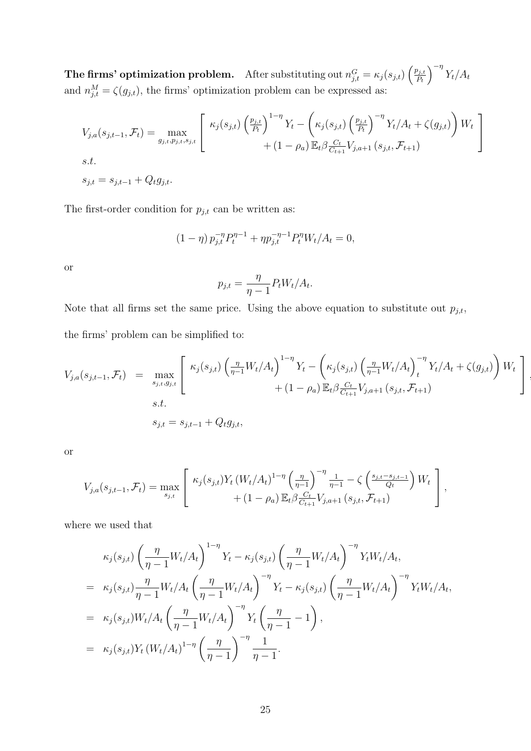**The firms' optimization problem.** After substituting out  $n_{j,t}^G = \kappa_j(s_{j,t}) \left( \frac{p_{j,t}}{P_t} \right)$  $P_t$  $\int_{0}^{-\eta} Y_{t}/A_{t}$ and  $n_{j,t}^M = \zeta(g_{j,t})$ , the firms' optimization problem can be expressed as:

$$
V_{j,a}(s_{j,t-1}, \mathcal{F}_t) = \max_{g_{j,t}, p_{j,t}, s_{j,t}} \left[ \begin{array}{c} \kappa_j(s_{j,t}) \left( \frac{p_{j,t}}{p_t} \right)^{1-\eta} Y_t - \left( \kappa_j(s_{j,t}) \left( \frac{p_{j,t}}{p_t} \right)^{-\eta} Y_t / A_t + \zeta(g_{j,t}) \right) W_t \\ + (1 - \rho_a) \mathbb{E}_t \beta \frac{C_t}{C_{t+1}} V_{j,a+1}(s_{j,t}, \mathcal{F}_{t+1}) \end{array} \right]
$$
  
s.t.  

$$
s_{j,t} = s_{j,t-1} + Q_t g_{j,t}.
$$

The first-order condition for  $p_{j,t}$  can be written as:

$$
(1 - \eta) p_{j,t}^{-\eta} P_t^{\eta - 1} + \eta p_{j,t}^{-\eta - 1} P_t^{\eta} W_t / A_t = 0,
$$

or

$$
p_{j,t} = \frac{\eta}{\eta - 1} P_t W_t / A_t.
$$

Note that all firms set the same price. Using the above equation to substitute out  $p_{j,t}$ , the firms' problem can be simplified to:

$$
V_{j,a}(s_{j,t-1}, \mathcal{F}_t) = \max_{s_{j,t}, g_{j,t}} \left[ \kappa_j(s_{j,t}) \left( \frac{\eta}{\eta - 1} W_t / A_t \right)^{1 - \eta} Y_t - \left( \kappa_j(s_{j,t}) \left( \frac{\eta}{\eta - 1} W_t / A_t \right)^{-\eta} Y_t / A_t + \zeta(g_{j,t}) \right) W_t \right] + (1 - \rho_a) \mathbb{E}_t \beta \frac{C_t}{C_{t+1}} V_{j,a+1}(s_{j,t}, \mathcal{F}_{t+1})
$$
  
s.t.  

$$
s_{j,t} = s_{j,t-1} + Q_t g_{j,t},
$$

or

$$
V_{j,a}(s_{j,t-1},\mathcal{F}_t) = \max_{s_{j,t}} \left[ \begin{array}{c} \kappa_j(s_{j,t}) Y_t \left( W_t / A_t \right)^{1-\eta} \left( \frac{\eta}{\eta-1} \right)^{-\eta} \frac{1}{\eta-1} - \zeta \left( \frac{s_{j,t}-s_{j,t-1}}{Q_t} \right) W_t \\ + (1-\rho_a) \mathbb{E}_t \beta \frac{C_t}{C_{t+1}} V_{j,a+1} \left( s_{j,t}, \mathcal{F}_{t+1} \right) \end{array} \right],
$$

where we used that

$$
\kappa_{j}(s_{j,t}) \left(\frac{\eta}{\eta-1} W_{t}/A_{t}\right)^{1-\eta} Y_{t} - \kappa_{j}(s_{j,t}) \left(\frac{\eta}{\eta-1} W_{t}/A_{t}\right)^{-\eta} Y_{t} W_{t}/A_{t},
$$
\n
$$
= \kappa_{j}(s_{j,t}) \frac{\eta}{\eta-1} W_{t}/A_{t} \left(\frac{\eta}{\eta-1} W_{t}/A_{t}\right)^{-\eta} Y_{t} - \kappa_{j}(s_{j,t}) \left(\frac{\eta}{\eta-1} W_{t}/A_{t}\right)^{-\eta} Y_{t} W_{t}/A_{t},
$$
\n
$$
= \kappa_{j}(s_{j,t}) W_{t}/A_{t} \left(\frac{\eta}{\eta-1} W_{t}/A_{t}\right)^{-\eta} Y_{t} \left(\frac{\eta}{\eta-1}-1\right),
$$
\n
$$
= \kappa_{j}(s_{j,t}) Y_{t} \left(W_{t}/A_{t}\right)^{1-\eta} \left(\frac{\eta}{\eta-1}\right)^{-\eta} \frac{1}{\eta-1}.
$$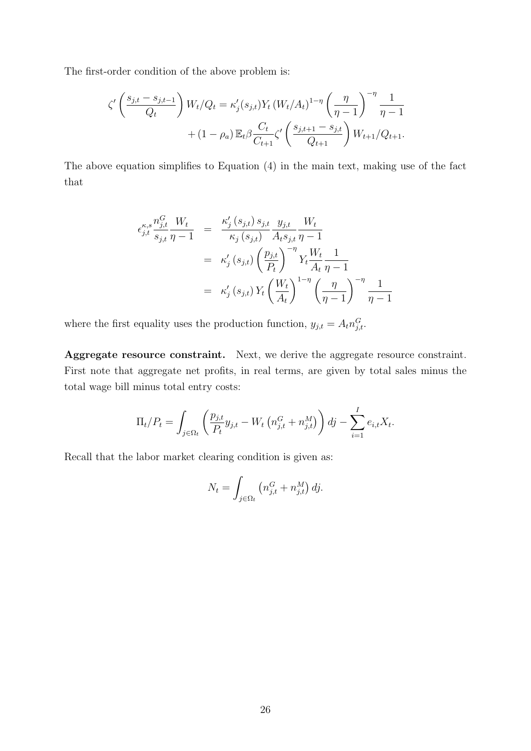The first-order condition of the above problem is:

$$
\zeta' \left( \frac{s_{j,t} - s_{j,t-1}}{Q_t} \right) W_t / Q_t = \kappa'_j(s_{j,t}) Y_t (W_t / A_t)^{1-\eta} \left( \frac{\eta}{\eta - 1} \right)^{-\eta} \frac{1}{\eta - 1} + (1 - \rho_a) \mathbb{E}_t \beta \frac{C_t}{C_{t+1}} \zeta' \left( \frac{s_{j,t+1} - s_{j,t}}{Q_{t+1}} \right) W_{t+1} / Q_{t+1}.
$$

The above equation simplifies to Equation (4) in the main text, making use of the fact that

$$
\epsilon_{j,t}^{\kappa,s} \frac{n_{j,t}^G}{s_{j,t}} \frac{W_t}{\eta - 1} = \frac{\kappa_j'(s_{j,t}) s_{j,t}}{\kappa_j(s_{j,t})} \frac{y_{j,t}}{A_t s_{j,t}} \frac{W_t}{\eta - 1}
$$
  

$$
= \kappa_j'(s_{j,t}) \left(\frac{p_{j,t}}{P_t}\right)^{-\eta} Y_t \frac{W_t}{A_t} \frac{1}{\eta - 1}
$$
  

$$
= \kappa_j'(s_{j,t}) Y_t \left(\frac{W_t}{A_t}\right)^{1 - \eta} \left(\frac{\eta}{\eta - 1}\right)^{-\eta} \frac{1}{\eta - 1}
$$

where the first equality uses the production function,  $y_{j,t} = A_t n_{j,t}^G$ .

Aggregate resource constraint. Next, we derive the aggregate resource constraint. First note that aggregate net profits, in real terms, are given by total sales minus the total wage bill minus total entry costs:

$$
\Pi_t/P_t = \int_{j \in \Omega_t} \left( \frac{p_{j,t}}{P_t} y_{j,t} - W_t \left( n_{j,t}^G + n_{j,t}^M \right) \right) dj - \sum_{i=1}^I e_{i,t} X_t.
$$

Recall that the labor market clearing condition is given as:

$$
N_t = \int_{j \in \Omega_t} \left( n_{j,t}^G + n_{j,t}^M \right) dj.
$$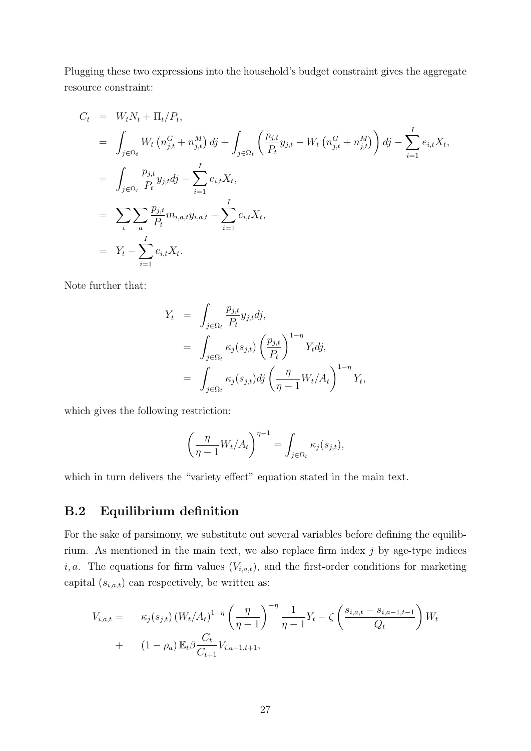Plugging these two expressions into the household's budget constraint gives the aggregate resource constraint:

$$
C_{t} = W_{t}N_{t} + \Pi_{t}/P_{t},
$$
  
\n
$$
= \int_{j\in\Omega_{t}} W_{t} (n_{j,t}^{G} + n_{j,t}^{M}) dj + \int_{j\in\Omega_{t}} \left(\frac{p_{j,t}}{P_{t}} y_{j,t} - W_{t} (n_{j,t}^{G} + n_{j,t}^{M})\right) dj - \sum_{i=1}^{I} e_{i,t} X_{t},
$$
  
\n
$$
= \int_{j\in\Omega_{t}} \frac{p_{j,t}}{P_{t}} y_{j,t} dj - \sum_{i=1}^{I} e_{i,t} X_{t},
$$
  
\n
$$
= \sum_{i} \sum_{a} \frac{p_{j,t}}{P_{t}} m_{i,a,t} y_{i,a,t} - \sum_{i=1}^{I} e_{i,t} X_{t},
$$
  
\n
$$
= Y_{t} - \sum_{i=1}^{I} e_{i,t} X_{t}.
$$

Note further that:

$$
Y_t = \int_{j \in \Omega_t} \frac{p_{j,t}}{P_t} y_{j,t} dj,
$$
  
\n
$$
= \int_{j \in \Omega_t} \kappa_j(s_{j,t}) \left(\frac{p_{j,t}}{P_t}\right)^{1-\eta} Y_t dj,
$$
  
\n
$$
= \int_{j \in \Omega_t} \kappa_j(s_{j,t}) dj \left(\frac{\eta}{\eta-1} W_t/A_t\right)^{1-\eta} Y_t,
$$

which gives the following restriction:

$$
\left(\frac{\eta}{\eta-1}W_t/A_t\right)^{\eta-1} = \int_{j\in\Omega_t} \kappa_j(s_{j,t}),
$$

which in turn delivers the "variety effect" equation stated in the main text.

### B.2 Equilibrium definition

For the sake of parsimony, we substitute out several variables before defining the equilibrium. As mentioned in the main text, we also replace firm index  $j$  by age-type indices *i, a.* The equations for firm values  $(V_{i,a,t})$ , and the first-order conditions for marketing capital  $(s_{i,a,t})$  can respectively, be written as:

$$
V_{i,a,t} = \kappa_j(s_{j,t}) (W_t/A_t)^{1-\eta} \left(\frac{\eta}{\eta-1}\right)^{-\eta} \frac{1}{\eta-1} Y_t - \zeta \left(\frac{s_{i,a,t} - s_{i,a-1,t-1}}{Q_t}\right) W_t + (1 - \rho_a) \mathbb{E}_t \beta \frac{C_t}{C_{t+1}} V_{i,a+1,t+1},
$$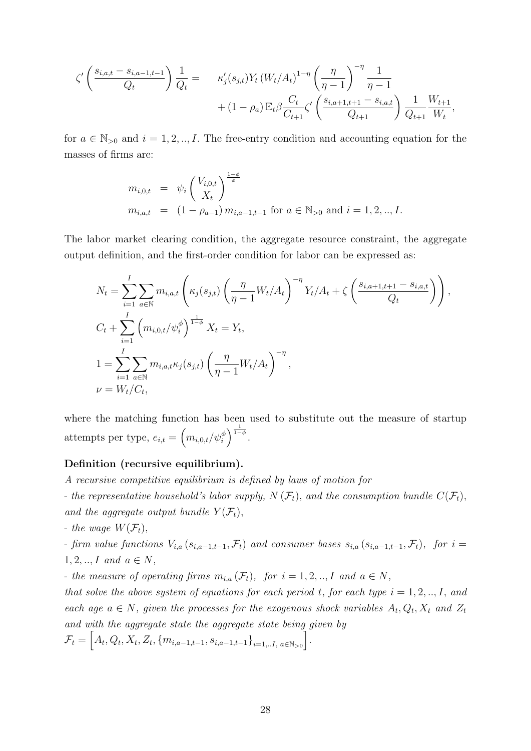$$
\zeta' \left( \frac{s_{i,a,t} - s_{i,a-1,t-1}}{Q_t} \right) \frac{1}{Q_t} = \kappa'_j(s_{j,t}) Y_t (W_t/A_t)^{1-\eta} \left( \frac{\eta}{\eta - 1} \right)^{-\eta} \frac{1}{\eta - 1} + (1 - \rho_a) \mathbb{E}_t \beta \frac{C_t}{C_{t+1}} \zeta' \left( \frac{s_{i,a+1,t+1} - s_{i,a,t}}{Q_{t+1}} \right) \frac{1}{Q_{t+1}} \frac{W_{t+1}}{W_t},
$$

for  $a \in \mathbb{N}_{>0}$  and  $i = 1, 2, ..., I$ . The free-entry condition and accounting equation for the masses of firms are:

$$
m_{i,0,t} = \psi_i \left( \frac{V_{i,0,t}}{X_t} \right)^{\frac{1-\phi}{\phi}}
$$
  
\n
$$
m_{i,a,t} = (1 - \rho_{a-1}) m_{i,a-1,t-1} \text{ for } a \in \mathbb{N}_{>0} \text{ and } i = 1, 2, ..., I.
$$

The labor market clearing condition, the aggregate resource constraint, the aggregate output definition, and the first-order condition for labor can be expressed as:

$$
N_{t} = \sum_{i=1}^{I} \sum_{a \in \mathbb{N}} m_{i,a,t} \left( \kappa_{j}(s_{j,t}) \left( \frac{\eta}{\eta - 1} W_{t}/A_{t} \right)^{-\eta} Y_{t}/A_{t} + \zeta \left( \frac{s_{i,a+1,t+1} - s_{i,a,t}}{Q_{t}} \right) \right),
$$
  
\n
$$
C_{t} + \sum_{i=1}^{I} \left( m_{i,0,t}/\psi_{i}^{\phi} \right)^{\frac{1}{1-\phi}} X_{t} = Y_{t},
$$
  
\n
$$
1 = \sum_{i=1}^{I} \sum_{a \in \mathbb{N}} m_{i,a,t} \kappa_{j}(s_{j,t}) \left( \frac{\eta}{\eta - 1} W_{t}/A_{t} \right)^{-\eta},
$$
  
\n
$$
\nu = W_{t}/C_{t},
$$

where the matching function has been used to substitute out the measure of startup attempts per type,  $e_{i,t} = \left(m_{i,0,t}/\psi_i^{\phi}\right)^{\frac{1}{1-\phi}}$ .

#### Definition (recursive equilibrium).

- A recursive competitive equilibrium is defined by laws of motion for
- the representative household's labor supply,  $N(\mathcal{F}_t)$ , and the consumption bundle  $C(\mathcal{F}_t)$ , and the aggregate output bundle  $Y(\mathcal{F}_t)$ ,
- the wage  $W(\mathcal{F}_t)$ ,

- firm value functions  $V_{i,a}(s_{i,a-1,t-1},\mathcal{F}_t)$  and consumer bases  $s_{i,a}(s_{i,a-1,t-1},\mathcal{F}_t)$ , for  $i=$  $1, 2, ..., I$  and  $a \in N$ ,

- the measure of operating firms  $m_{i,a}(\mathcal{F}_t)$ , for  $i = 1, 2, ..., I$  and  $a \in N$ ,

that solve the above system of equations for each period t, for each type  $i = 1, 2, ..., I$ , and each age  $a \in N$ , given the processes for the exogenous shock variables  $A_t, Q_t, X_t$  and  $Z_t$ and with the aggregate state the aggregate state being given by

$$
\mathcal{F}_t = \left[ A_t, Q_t, X_t, Z_t, \{ m_{i,a-1,t-1}, s_{i,a-1,t-1} \}_{i=1,..I, a \in \mathbb{N}_{>0}} \right].
$$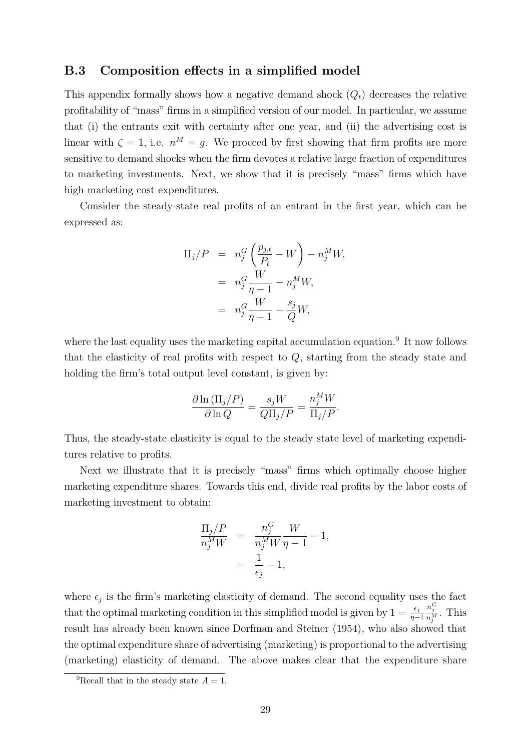#### B.3 Composition effects in a simplified model

This appendix formally shows how a negative demand shock  $(Q_t)$  decreases the relative profitability of "mass" firms in a simplified version of our model. In particular, we assume that (i) the entrants exit with certainty after one year, and (ii) the advertising cost is linear with  $\zeta = 1$ , i.e.  $n^M = g$ . We proceed by first showing that firm profits are more sensitive to demand shocks when the firm devotes a relative large fraction of expenditures to marketing investments. Next, we show that it is precisely "mass" firms which have high marketing cost expenditures.

Consider the steady-state real profits of an entrant in the first year, which can be expressed as:

$$
\Pi_j/P = n_j^G \left(\frac{p_{j,t}}{P_t} - W\right) - n_j^M W,
$$
  
=  $n_j^G \frac{W}{\eta - 1} - n_j^M W,$   
=  $n_j^G \frac{W}{\eta - 1} - \frac{s_j}{Q} W,$ 

where the last equality uses the marketing capital accumulation equation.<sup>9</sup> It now follows that the elasticity of real profits with respect to Q, starting from the steady state and holding the firm's total output level constant, is given by:

$$
\frac{\partial \ln \left(\Pi_j/P\right)}{\partial \ln Q} = \frac{s_j W}{Q \Pi_j/P} = \frac{n_j^M W}{\Pi_j/P}.
$$

Thus, the steady-state elasticity is equal to the steady state level of marketing expenditures relative to profits.

Next we illustrate that it is precisely "mass" firms which optimally choose higher marketing expenditure shares. Towards this end, divide real profits by the labor costs of marketing investment to obtain:

$$
\frac{\Pi_j/P}{n_j^M W} = \frac{n_j^G}{n_j^M W} \frac{W}{\eta - 1} - 1,
$$
  
= 
$$
\frac{1}{\epsilon_j} - 1,
$$

where  $\epsilon_j$  is the firm's marketing elasticity of demand. The second equality uses the fact that the optimal marketing condition in this simplified model is given by  $1 = \frac{\epsilon_j}{\eta - 1}$  $\frac{n_j^G}{n_j^M}$ . This result has already been known since Dorfman and Steiner (1954), who also showed that the optimal expenditure share of advertising (marketing) is proportional to the advertising (marketing) elasticity of demand. The above makes clear that the expenditure share

<sup>&</sup>lt;sup>9</sup>Recall that in the steady state  $A = 1$ .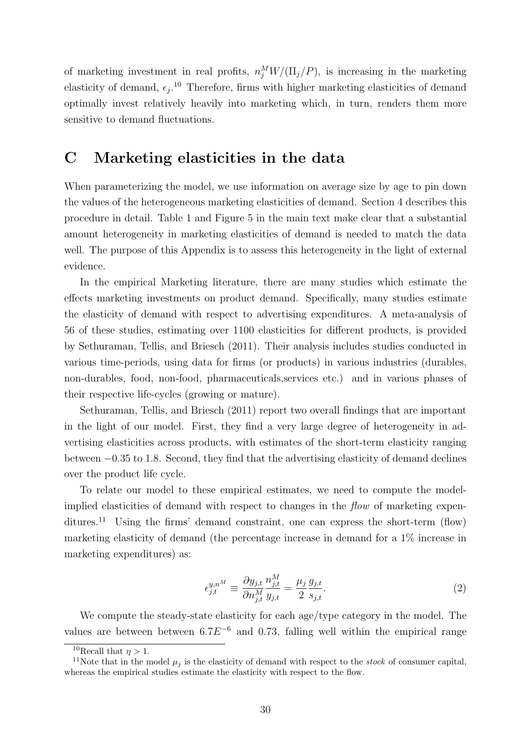of marketing investment in real profits,  $n_j^M W/(\Pi_j/P)$ , is increasing in the marketing elasticity of demand,  $\epsilon_j$ .<sup>10</sup> Therefore, firms with higher marketing elasticities of demand optimally invest relatively heavily into marketing which, in turn, renders them more sensitive to demand fluctuations.

### C Marketing elasticities in the data

When parameterizing the model, we use information on average size by age to pin down the values of the heterogeneous marketing elasticities of demand. Section 4 describes this procedure in detail. Table 1 and Figure 5 in the main text make clear that a substantial amount heterogeneity in marketing elasticities of demand is needed to match the data well. The purpose of this Appendix is to assess this heterogeneity in the light of external evidence.

In the empirical Marketing literature, there are many studies which estimate the effects marketing investments on product demand. Specifically, many studies estimate the elasticity of demand with respect to advertising expenditures. A meta-analysis of 56 of these studies, estimating over 1100 elasticities for different products, is provided by Sethuraman, Tellis, and Briesch (2011). Their analysis includes studies conducted in various time-periods, using data for firms (or products) in various industries (durables, non-durables, food, non-food, pharmaceuticals,services etc.) and in various phases of their respective life-cycles (growing or mature).

Sethuraman, Tellis, and Briesch (2011) report two overall findings that are important in the light of our model. First, they find a very large degree of heterogeneity in advertising elasticities across products, with estimates of the short-term elasticity ranging between −0.35 to 1.8. Second, they find that the advertising elasticity of demand declines over the product life cycle.

To relate our model to these empirical estimates, we need to compute the modelimplied elasticities of demand with respect to changes in the flow of marketing expenditures.<sup>11</sup> Using the firms' demand constraint, one can express the short-term (flow) marketing elasticity of demand (the percentage increase in demand for a 1% increase in marketing expenditures) as:

$$
\epsilon_{j,t}^{y,n^M} \equiv \frac{\partial y_{j,t}}{\partial n_{j,t}^M} \frac{n_{j,t}^M}{y_{j,t}} = \frac{\mu_j}{2} \frac{g_{j,t}}{s_{j,t}}.
$$
\n
$$
(2)
$$

We compute the steady-state elasticity for each age/type category in the model. The values are between between  $6.7E^{-6}$  and 0.73, falling well within the empirical range

<sup>&</sup>lt;sup>10</sup>Recall that  $n > 1$ .

<sup>&</sup>lt;sup>11</sup>Note that in the model  $\mu_j$  is the elasticity of demand with respect to the *stock* of consumer capital, whereas the empirical studies estimate the elasticity with respect to the flow.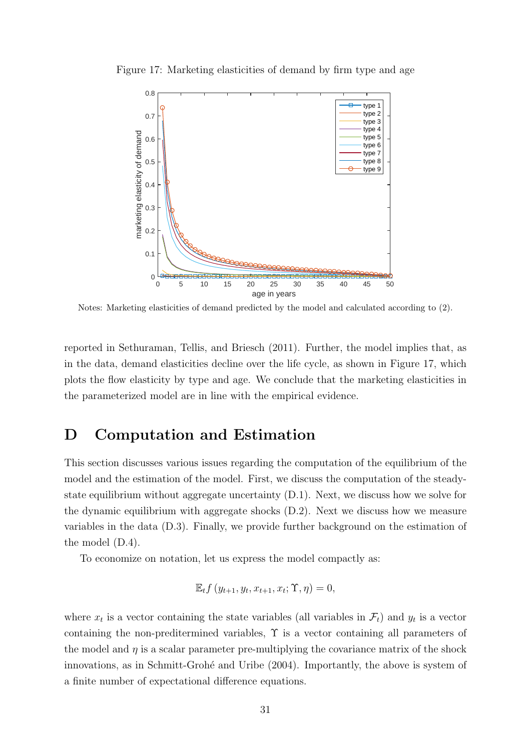

Figure 17: Marketing elasticities of demand by firm type and age

Notes: Marketing elasticities of demand predicted by the model and calculated according to (2).

reported in Sethuraman, Tellis, and Briesch (2011). Further, the model implies that, as in the data, demand elasticities decline over the life cycle, as shown in Figure 17, which plots the flow elasticity by type and age. We conclude that the marketing elasticities in the parameterized model are in line with the empirical evidence.

## D Computation and Estimation

This section discusses various issues regarding the computation of the equilibrium of the model and the estimation of the model. First, we discuss the computation of the steadystate equilibrium without aggregate uncertainty (D.1). Next, we discuss how we solve for the dynamic equilibrium with aggregate shocks (D.2). Next we discuss how we measure variables in the data (D.3). Finally, we provide further background on the estimation of the model (D.4).

To economize on notation, let us express the model compactly as:

$$
\mathbb{E}_t f(y_{t+1}, y_t, x_{t+1}, x_t; \Upsilon, \eta) = 0,
$$

where  $x_t$  is a vector containing the state variables (all variables in  $\mathcal{F}_t$ ) and  $y_t$  is a vector containing the non-preditermined variables,  $\Upsilon$  is a vector containing all parameters of the model and  $\eta$  is a scalar parameter pre-multiplying the covariance matrix of the shock innovations, as in Schmitt-Grohé and Uribe (2004). Importantly, the above is system of a finite number of expectational difference equations.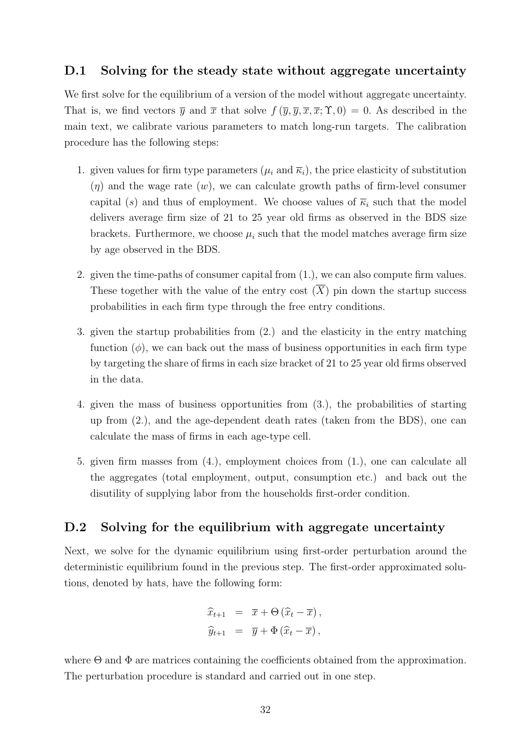#### D.1 Solving for the steady state without aggregate uncertainty

We first solve for the equilibrium of a version of the model without aggregate uncertainty. That is, we find vectors  $\overline{y}$  and  $\overline{x}$  that solve  $f(\overline{y}, \overline{y}, \overline{x}, \overline{x}; \Upsilon, 0) = 0$ . As described in the main text, we calibrate various parameters to match long-run targets. The calibration procedure has the following steps:

- 1. given values for firm type parameters ( $\mu_i$  and  $\bar{\kappa}_i$ ), the price elasticity of substitution  $(\eta)$  and the wage rate  $(w)$ , we can calculate growth paths of firm-level consumer capital (s) and thus of employment. We choose values of  $\overline{\kappa}_i$  such that the model delivers average firm size of 21 to 25 year old firms as observed in the BDS size brackets. Furthermore, we choose  $\mu_i$  such that the model matches average firm size by age observed in the BDS.
- 2. given the time-paths of consumer capital from (1.), we can also compute firm values. These together with the value of the entry cost  $(\overline{X})$  pin down the startup success probabilities in each firm type through the free entry conditions.
- 3. given the startup probabilities from (2.) and the elasticity in the entry matching function  $(\phi)$ , we can back out the mass of business opportunities in each firm type by targeting the share of firms in each size bracket of 21 to 25 year old firms observed in the data.
- 4. given the mass of business opportunities from (3.), the probabilities of starting up from (2.), and the age-dependent death rates (taken from the BDS), one can calculate the mass of firms in each age-type cell.
- 5. given firm masses from (4.), employment choices from (1.), one can calculate all the aggregates (total employment, output, consumption etc.) and back out the disutility of supplying labor from the households first-order condition.

#### D.2 Solving for the equilibrium with aggregate uncertainty

Next, we solve for the dynamic equilibrium using first-order perturbation around the deterministic equilibrium found in the previous step. The first-order approximated solutions, denoted by hats, have the following form:

$$
\widehat{x}_{t+1} = \overline{x} + \Theta(\widehat{x}_t - \overline{x}),
$$
  

$$
\widehat{y}_{t+1} = \overline{y} + \Phi(\widehat{x}_t - \overline{x}),
$$

where  $\Theta$  and  $\Phi$  are matrices containing the coefficients obtained from the approximation. The perturbation procedure is standard and carried out in one step.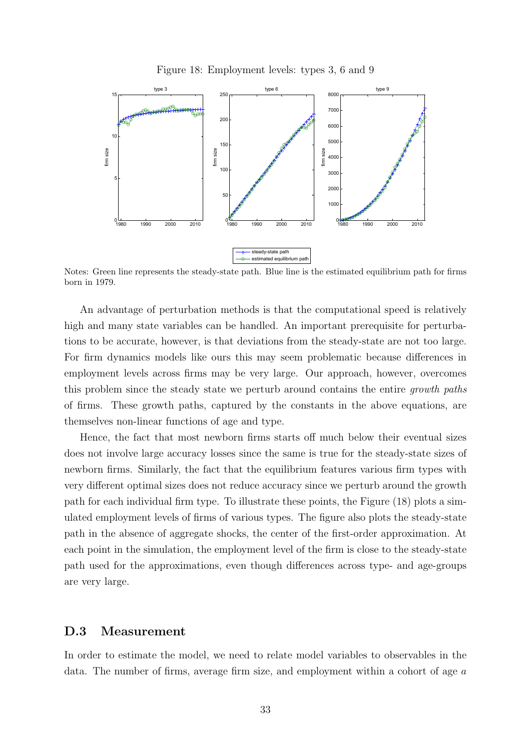



Notes: Green line represents the steady-state path. Blue line is the estimated equilibrium path for firms born in 1979.

An advantage of perturbation methods is that the computational speed is relatively high and many state variables can be handled. An important prerequisite for perturbations to be accurate, however, is that deviations from the steady-state are not too large. For firm dynamics models like ours this may seem problematic because differences in employment levels across firms may be very large. Our approach, however, overcomes this problem since the steady state we perturb around contains the entire growth paths of firms. These growth paths, captured by the constants in the above equations, are themselves non-linear functions of age and type.

Hence, the fact that most newborn firms starts off much below their eventual sizes does not involve large accuracy losses since the same is true for the steady-state sizes of newborn firms. Similarly, the fact that the equilibrium features various firm types with very different optimal sizes does not reduce accuracy since we perturb around the growth path for each individual firm type. To illustrate these points, the Figure (18) plots a simulated employment levels of firms of various types. The figure also plots the steady-state path in the absence of aggregate shocks, the center of the first-order approximation. At each point in the simulation, the employment level of the firm is close to the steady-state path used for the approximations, even though differences across type- and age-groups are very large.

#### D.3 Measurement

In order to estimate the model, we need to relate model variables to observables in the data. The number of firms, average firm size, and employment within a cohort of age a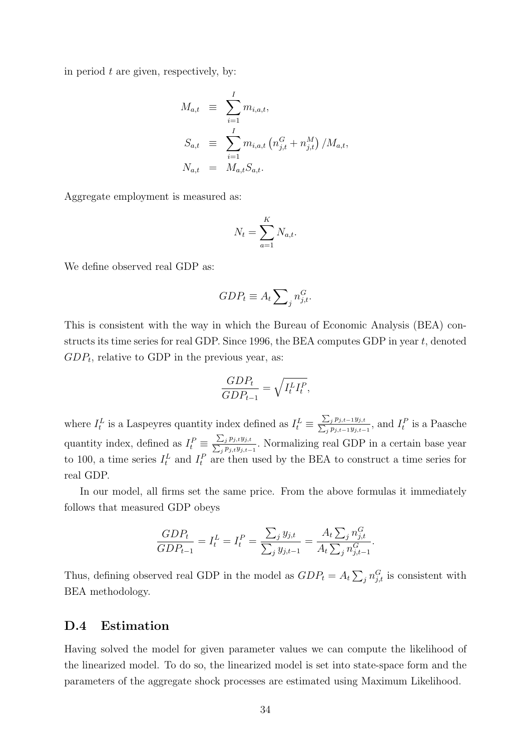in period  $t$  are given, respectively, by:

$$
M_{a,t} \equiv \sum_{i=1}^{I} m_{i,a,t},
$$
  
\n
$$
S_{a,t} \equiv \sum_{i=1}^{I} m_{i,a,t} (n_{j,t}^{G} + n_{j,t}^{M}) / M_{a,t},
$$
  
\n
$$
N_{a,t} = M_{a,t} S_{a,t}.
$$

Aggregate employment is measured as:

$$
N_t = \sum_{a=1}^K N_{a,t}.
$$

We define observed real GDP as:

$$
GDP_t \equiv A_t \sum_{j} n_{j,t}^G.
$$

This is consistent with the way in which the Bureau of Economic Analysis (BEA) constructs its time series for real GDP. Since 1996, the BEA computes GDP in year  $t$ , denoted  $GDP_t$ , relative to GDP in the previous year, as:

$$
\frac{GDP_t}{GDP_{t-1}} = \sqrt{I_t^L I_t^P},
$$

where  $I_t^L$  is a Laspeyres quantity index defined as  $I_t^L \equiv \frac{\sum_j}{\sum_i j}$  $p_{j,t-1}y_{j,t}$  $\frac{\sum_j p_{j,t-1}y_{j,t}}{\sum_j p_{j,t-1}y_{j,t-1}}$ , and  $I_t^P$  is a Paasche quantity index, defined as  $I_t^P \equiv \frac{\sum_j}{\sum_{i} i}$  $p_{j,t}y_{j,t}$  $\frac{\sum_j p_{j,t} y_{j,t}}{j}$ . Normalizing real GDP in a certain base year to 100, a time series  $I_t^L$  and  $I_t^P$  are then used by the BEA to construct a time series for real GDP.

In our model, all firms set the same price. From the above formulas it immediately follows that measured GDP obeys

$$
\frac{GDP_t}{GDP_{t-1}} = I_t^L = I_t^P = \frac{\sum_j y_{j,t}}{\sum_j y_{j,t-1}} = \frac{A_t \sum_j n_{j,t}^G}{A_t \sum_j n_{j,t-1}^G}.
$$

Thus, defining observed real GDP in the model as  $GDP_t = A_t \sum_j n_{j,t}^G$  is consistent with BEA methodology.

#### D.4 Estimation

Having solved the model for given parameter values we can compute the likelihood of the linearized model. To do so, the linearized model is set into state-space form and the parameters of the aggregate shock processes are estimated using Maximum Likelihood.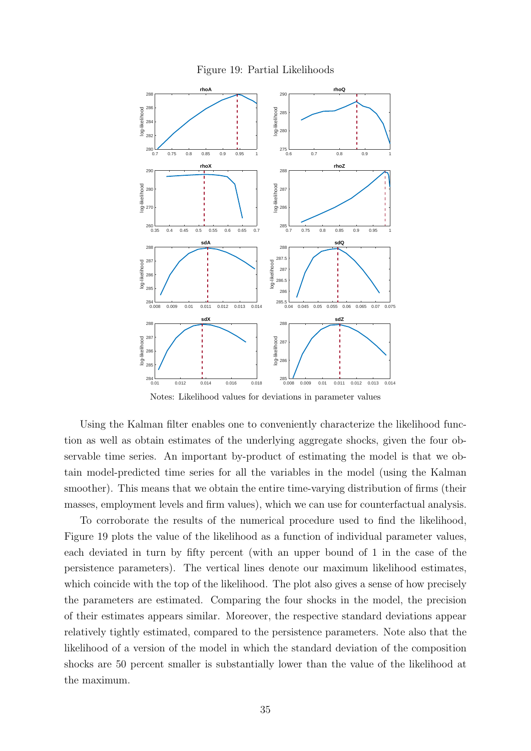



Notes: Likelihood values for deviations in parameter values

Using the Kalman filter enables one to conveniently characterize the likelihood function as well as obtain estimates of the underlying aggregate shocks, given the four observable time series. An important by-product of estimating the model is that we obtain model-predicted time series for all the variables in the model (using the Kalman smoother). This means that we obtain the entire time-varying distribution of firms (their masses, employment levels and firm values), which we can use for counterfactual analysis.

To corroborate the results of the numerical procedure used to find the likelihood, Figure 19 plots the value of the likelihood as a function of individual parameter values, each deviated in turn by fifty percent (with an upper bound of 1 in the case of the persistence parameters). The vertical lines denote our maximum likelihood estimates, which coincide with the top of the likelihood. The plot also gives a sense of how precisely the parameters are estimated. Comparing the four shocks in the model, the precision of their estimates appears similar. Moreover, the respective standard deviations appear relatively tightly estimated, compared to the persistence parameters. Note also that the likelihood of a version of the model in which the standard deviation of the composition shocks are 50 percent smaller is substantially lower than the value of the likelihood at the maximum.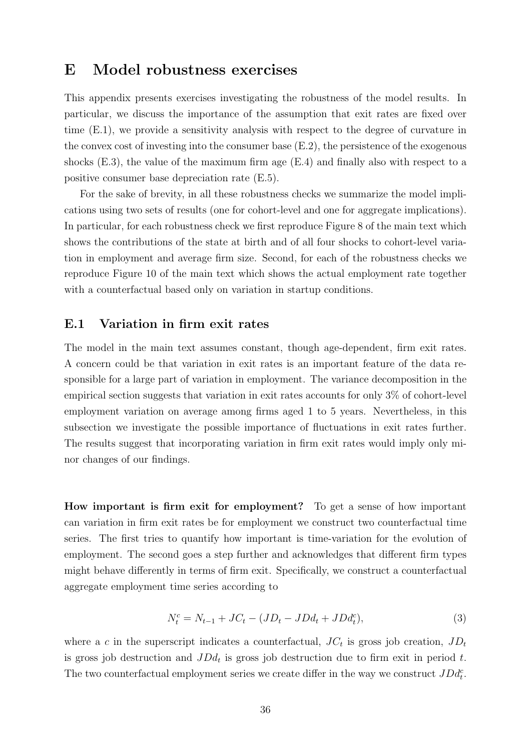## E Model robustness exercises

This appendix presents exercises investigating the robustness of the model results. In particular, we discuss the importance of the assumption that exit rates are fixed over time (E.1), we provide a sensitivity analysis with respect to the degree of curvature in the convex cost of investing into the consumer base (E.2), the persistence of the exogenous shocks  $(E.3)$ , the value of the maximum firm age  $(E.4)$  and finally also with respect to a positive consumer base depreciation rate (E.5).

For the sake of brevity, in all these robustness checks we summarize the model implications using two sets of results (one for cohort-level and one for aggregate implications). In particular, for each robustness check we first reproduce Figure 8 of the main text which shows the contributions of the state at birth and of all four shocks to cohort-level variation in employment and average firm size. Second, for each of the robustness checks we reproduce Figure 10 of the main text which shows the actual employment rate together with a counterfactual based only on variation in startup conditions.

#### E.1 Variation in firm exit rates

The model in the main text assumes constant, though age-dependent, firm exit rates. A concern could be that variation in exit rates is an important feature of the data responsible for a large part of variation in employment. The variance decomposition in the empirical section suggests that variation in exit rates accounts for only 3% of cohort-level employment variation on average among firms aged 1 to 5 years. Nevertheless, in this subsection we investigate the possible importance of fluctuations in exit rates further. The results suggest that incorporating variation in firm exit rates would imply only minor changes of our findings.

How important is firm exit for employment? To get a sense of how important can variation in firm exit rates be for employment we construct two counterfactual time series. The first tries to quantify how important is time-variation for the evolution of employment. The second goes a step further and acknowledges that different firm types might behave differently in terms of firm exit. Specifically, we construct a counterfactual aggregate employment time series according to

$$
N_t^c = N_{t-1} + JC_t - (JD_t - JD_d_t + JD_d_t^c),
$$
\n(3)

where a c in the superscript indicates a counterfactual,  $JC_t$  is gross job creation,  $JD_t$ is gross job destruction and  $J D d_t$  is gross job destruction due to firm exit in period t. The two counterfactual employment series we create differ in the way we construct  $JDd_t^c$ .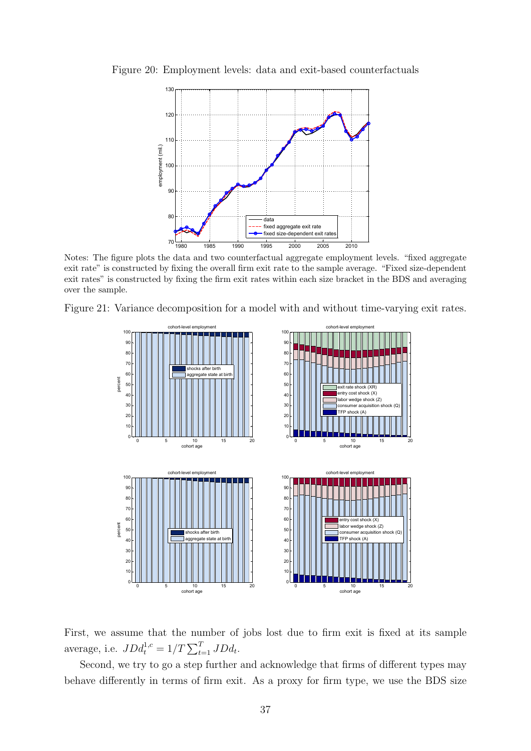

Figure 20: Employment levels: data and exit-based counterfactuals

Notes: The figure plots the data and two counterfactual aggregate employment levels. "fixed aggregate exit rate" is constructed by fixing the overall firm exit rate to the sample average. "Fixed size-dependent exit rates" is constructed by fixing the firm exit rates within each size bracket in the BDS and averaging over the sample.

Figure 21: Variance decomposition for a model with and without time-varying exit rates.



First, we assume that the number of jobs lost due to firm exit is fixed at its sample average, i.e.  $J D d_t^{1,c} = 1/T \sum_{t=1}^{T} JD d_t$ .

Second, we try to go a step further and acknowledge that firms of different types may behave differently in terms of firm exit. As a proxy for firm type, we use the BDS size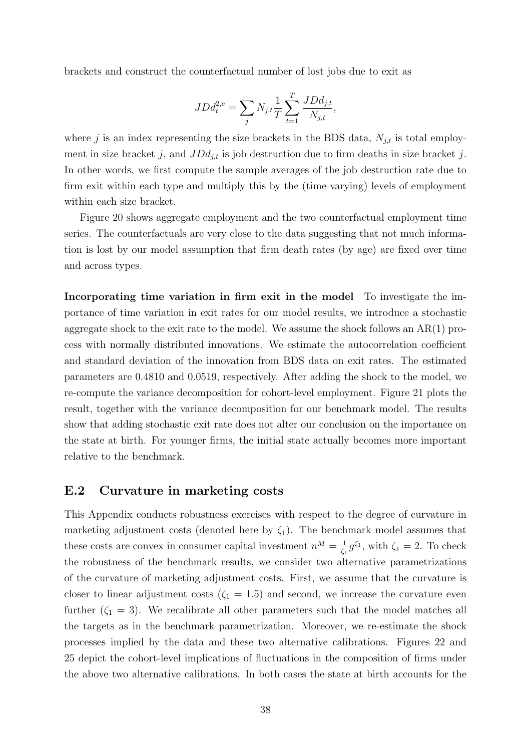brackets and construct the counterfactual number of lost jobs due to exit as

$$
JDd_t^{2,c} = \sum_j N_{j,t} \frac{1}{T} \sum_{t=1}^T \frac{JDd_{j,t}}{N_{j,t}},
$$

where j is an index representing the size brackets in the BDS data,  $N_{j,t}$  is total employment in size bracket j, and  $J D d_{j,t}$  is job destruction due to firm deaths in size bracket j. In other words, we first compute the sample averages of the job destruction rate due to firm exit within each type and multiply this by the (time-varying) levels of employment within each size bracket.

Figure 20 shows aggregate employment and the two counterfactual employment time series. The counterfactuals are very close to the data suggesting that not much information is lost by our model assumption that firm death rates (by age) are fixed over time and across types.

Incorporating time variation in firm exit in the model To investigate the importance of time variation in exit rates for our model results, we introduce a stochastic aggregate shock to the exit rate to the model. We assume the shock follows an AR(1) process with normally distributed innovations. We estimate the autocorrelation coefficient and standard deviation of the innovation from BDS data on exit rates. The estimated parameters are 0.4810 and 0.0519, respectively. After adding the shock to the model, we re-compute the variance decomposition for cohort-level employment. Figure 21 plots the result, together with the variance decomposition for our benchmark model. The results show that adding stochastic exit rate does not alter our conclusion on the importance on the state at birth. For younger firms, the initial state actually becomes more important relative to the benchmark.

#### E.2 Curvature in marketing costs

This Appendix conducts robustness exercises with respect to the degree of curvature in marketing adjustment costs (denoted here by  $\zeta_1$ ). The benchmark model assumes that these costs are convex in consumer capital investment  $n^M = \frac{1}{\epsilon}$  $\frac{1}{\zeta_1} g^{\zeta_1}$ , with  $\zeta_1 = 2$ . To check the robustness of the benchmark results, we consider two alternative parametrizations of the curvature of marketing adjustment costs. First, we assume that the curvature is closer to linear adjustment costs  $(\zeta_1 = 1.5)$  and second, we increase the curvature even further  $(\zeta_1 = 3)$ . We recalibrate all other parameters such that the model matches all the targets as in the benchmark parametrization. Moreover, we re-estimate the shock processes implied by the data and these two alternative calibrations. Figures 22 and 25 depict the cohort-level implications of fluctuations in the composition of firms under the above two alternative calibrations. In both cases the state at birth accounts for the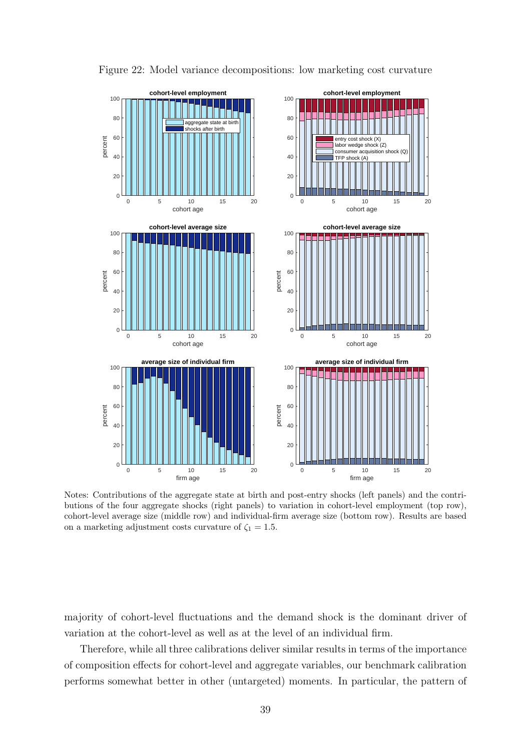

Figure 22: Model variance decompositions: low marketing cost curvature

Notes: Contributions of the aggregate state at birth and post-entry shocks (left panels) and the contributions of the four aggregate shocks (right panels) to variation in cohort-level employment (top row), cohort-level average size (middle row) and individual-firm average size (bottom row). Results are based on a marketing adjustment costs curvature of  $\zeta_1 = 1.5$ .

majority of cohort-level fluctuations and the demand shock is the dominant driver of variation at the cohort-level as well as at the level of an individual firm.

Therefore, while all three calibrations deliver similar results in terms of the importance of composition effects for cohort-level and aggregate variables, our benchmark calibration performs somewhat better in other (untargeted) moments. In particular, the pattern of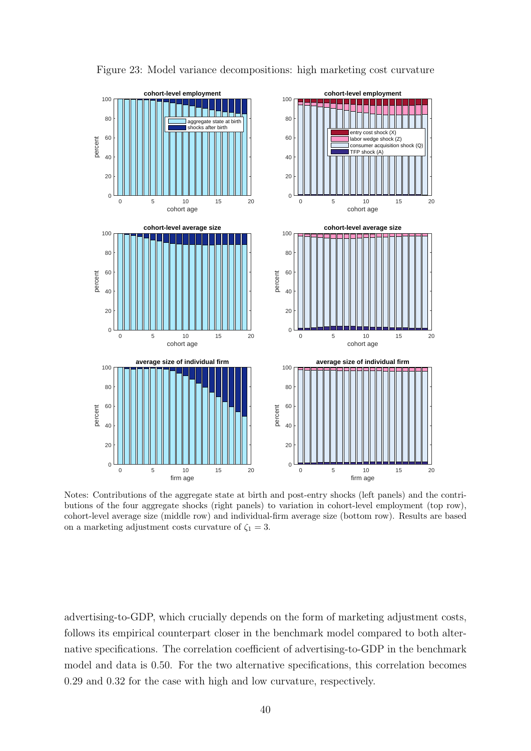

Figure 23: Model variance decompositions: high marketing cost curvature

Notes: Contributions of the aggregate state at birth and post-entry shocks (left panels) and the contributions of the four aggregate shocks (right panels) to variation in cohort-level employment (top row), cohort-level average size (middle row) and individual-firm average size (bottom row). Results are based on a marketing adjustment costs curvature of  $\zeta_1 = 3$ .

advertising-to-GDP, which crucially depends on the form of marketing adjustment costs, follows its empirical counterpart closer in the benchmark model compared to both alternative specifications. The correlation coefficient of advertising-to-GDP in the benchmark model and data is 0.50. For the two alternative specifications, this correlation becomes 0.29 and 0.32 for the case with high and low curvature, respectively.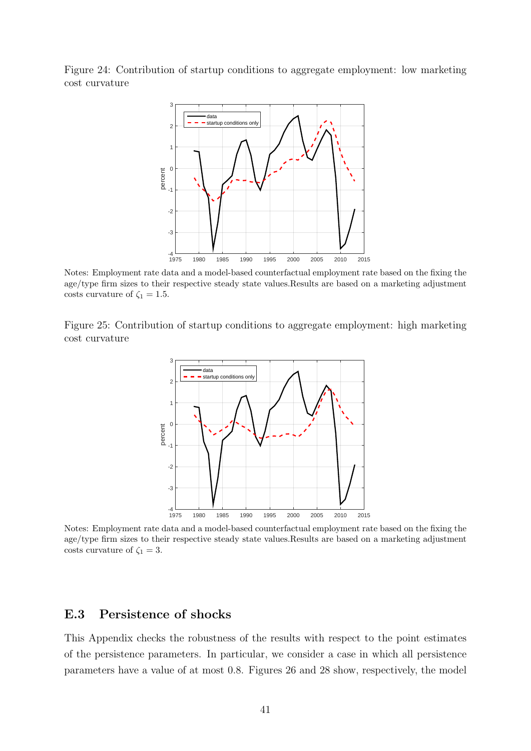Figure 24: Contribution of startup conditions to aggregate employment: low marketing cost curvature



Notes: Employment rate data and a model-based counterfactual employment rate based on the fixing the age/type firm sizes to their respective steady state values.Results are based on a marketing adjustment costs curvature of  $\zeta_1 = 1.5$ .

Figure 25: Contribution of startup conditions to aggregate employment: high marketing cost curvature



Notes: Employment rate data and a model-based counterfactual employment rate based on the fixing the age/type firm sizes to their respective steady state values.Results are based on a marketing adjustment costs curvature of  $\zeta_1 = 3$ .

#### E.3 Persistence of shocks

This Appendix checks the robustness of the results with respect to the point estimates of the persistence parameters. In particular, we consider a case in which all persistence parameters have a value of at most 0.8. Figures 26 and 28 show, respectively, the model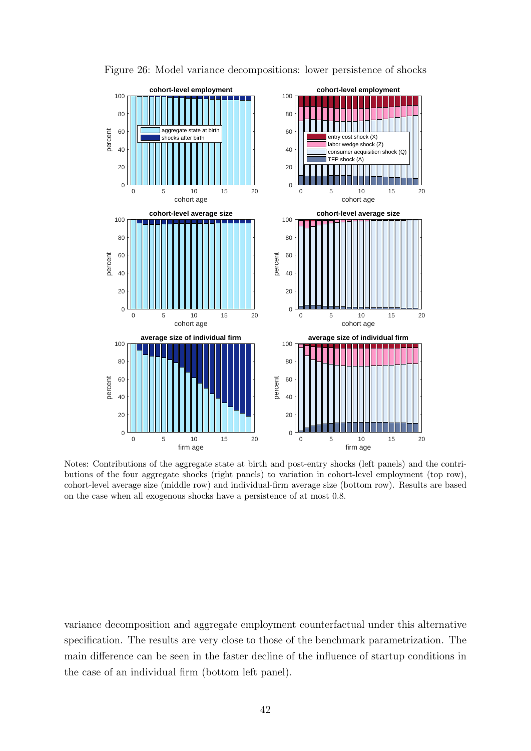

Figure 26: Model variance decompositions: lower persistence of shocks

Notes: Contributions of the aggregate state at birth and post-entry shocks (left panels) and the contributions of the four aggregate shocks (right panels) to variation in cohort-level employment (top row), cohort-level average size (middle row) and individual-firm average size (bottom row). Results are based on the case when all exogenous shocks have a persistence of at most 0.8.

variance decomposition and aggregate employment counterfactual under this alternative specification. The results are very close to those of the benchmark parametrization. The main difference can be seen in the faster decline of the influence of startup conditions in the case of an individual firm (bottom left panel).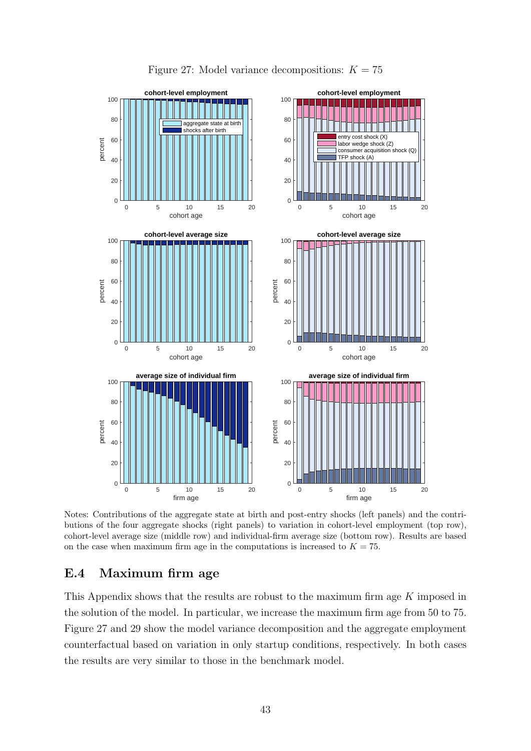

Notes: Contributions of the aggregate state at birth and post-entry shocks (left panels) and the contributions of the four aggregate shocks (right panels) to variation in cohort-level employment (top row), cohort-level average size (middle row) and individual-firm average size (bottom row). Results are based on the case when maximum firm age in the computations is increased to  $K = 75$ .

#### E.4 Maximum firm age

This Appendix shows that the results are robust to the maximum firm age K imposed in the solution of the model. In particular, we increase the maximum firm age from 50 to 75. Figure 27 and 29 show the model variance decomposition and the aggregate employment counterfactual based on variation in only startup conditions, respectively. In both cases the results are very similar to those in the benchmark model.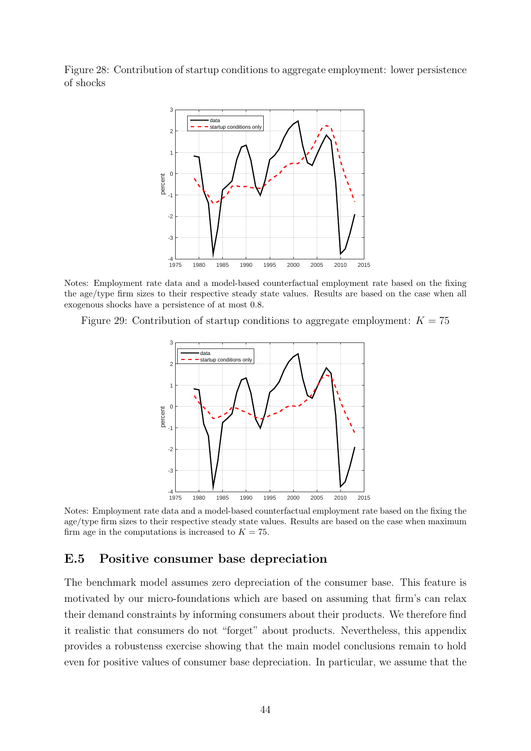Figure 28: Contribution of startup conditions to aggregate employment: lower persistence of shocks



Notes: Employment rate data and a model-based counterfactual employment rate based on the fixing the age/type firm sizes to their respective steady state values. Results are based on the case when all exogenous shocks have a persistence of at most 0.8.

Figure 29: Contribution of startup conditions to aggregate employment:  $K = 75$ 



Notes: Employment rate data and a model-based counterfactual employment rate based on the fixing the age/type firm sizes to their respective steady state values. Results are based on the case when maximum firm age in the computations is increased to  $K = 75$ .

### E.5 Positive consumer base depreciation

The benchmark model assumes zero depreciation of the consumer base. This feature is motivated by our micro-foundations which are based on assuming that firm's can relax their demand constraints by informing consumers about their products. We therefore find it realistic that consumers do not "forget" about products. Nevertheless, this appendix provides a robustenss exercise showing that the main model conclusions remain to hold even for positive values of consumer base depreciation. In particular, we assume that the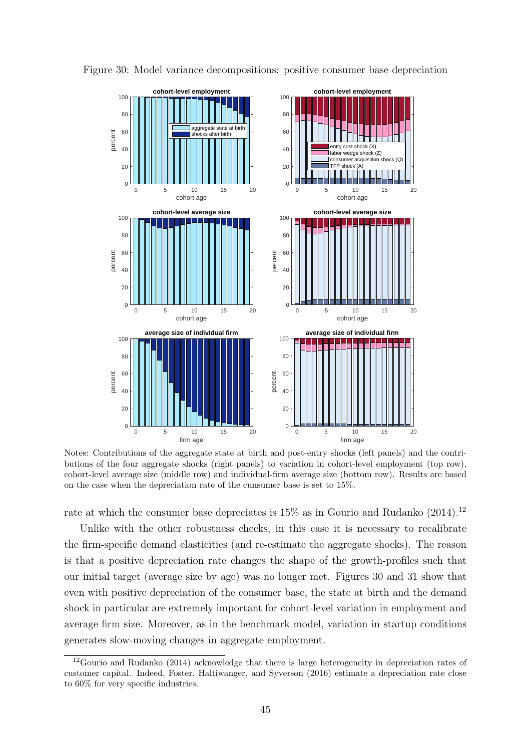

Figure 30: Model variance decompositions: positive consumer base depreciation

Notes: Contributions of the aggregate state at birth and post-entry shocks (left panels) and the contributions of the four aggregate shocks (right panels) to variation in cohort-level employment (top row), cohort-level average size (middle row) and individual-firm average size (bottom row). Results are based on the case when the depreciation rate of the cunsumer base is set to 15%.

rate at which the consumer base depreciates is  $15\%$  as in Gourio and Rudanko (2014).<sup>12</sup>

Unlike with the other robustness checks, in this case it is necessary to recalibrate the firm-specific demand elasticities (and re-estimate the aggregate shocks). The reason is that a positive depreciation rate changes the shape of the growth-profiles such that our initial target (average size by age) was no longer met. Figures 30 and 31 show that even with positive depreciation of the consumer base, the state at birth and the demand shock in particular are extremely important for cohort-level variation in employment and average firm size. Moreover, as in the benchmark model, variation in startup conditions generates slow-moving changes in aggregate employment.

<sup>12</sup>Gourio and Rudanko (2014) acknowledge that there is large heterogeneity in depreciation rates of customer capital. Indeed, Foster, Haltiwanger, and Syverson (2016) estimate a depreciation rate close to 60% for very specific industries.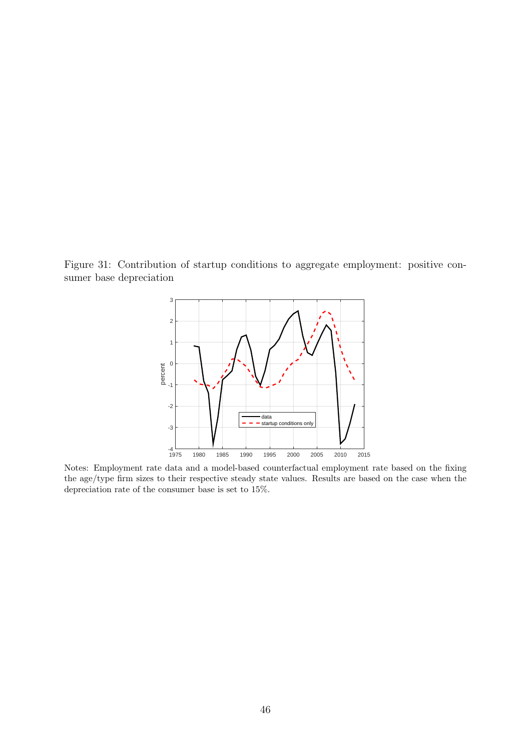Figure 31: Contribution of startup conditions to aggregate employment: positive consumer base depreciation



Notes: Employment rate data and a model-based counterfactual employment rate based on the fixing the age/type firm sizes to their respective steady state values. Results are based on the case when the depreciation rate of the consumer base is set to 15%.